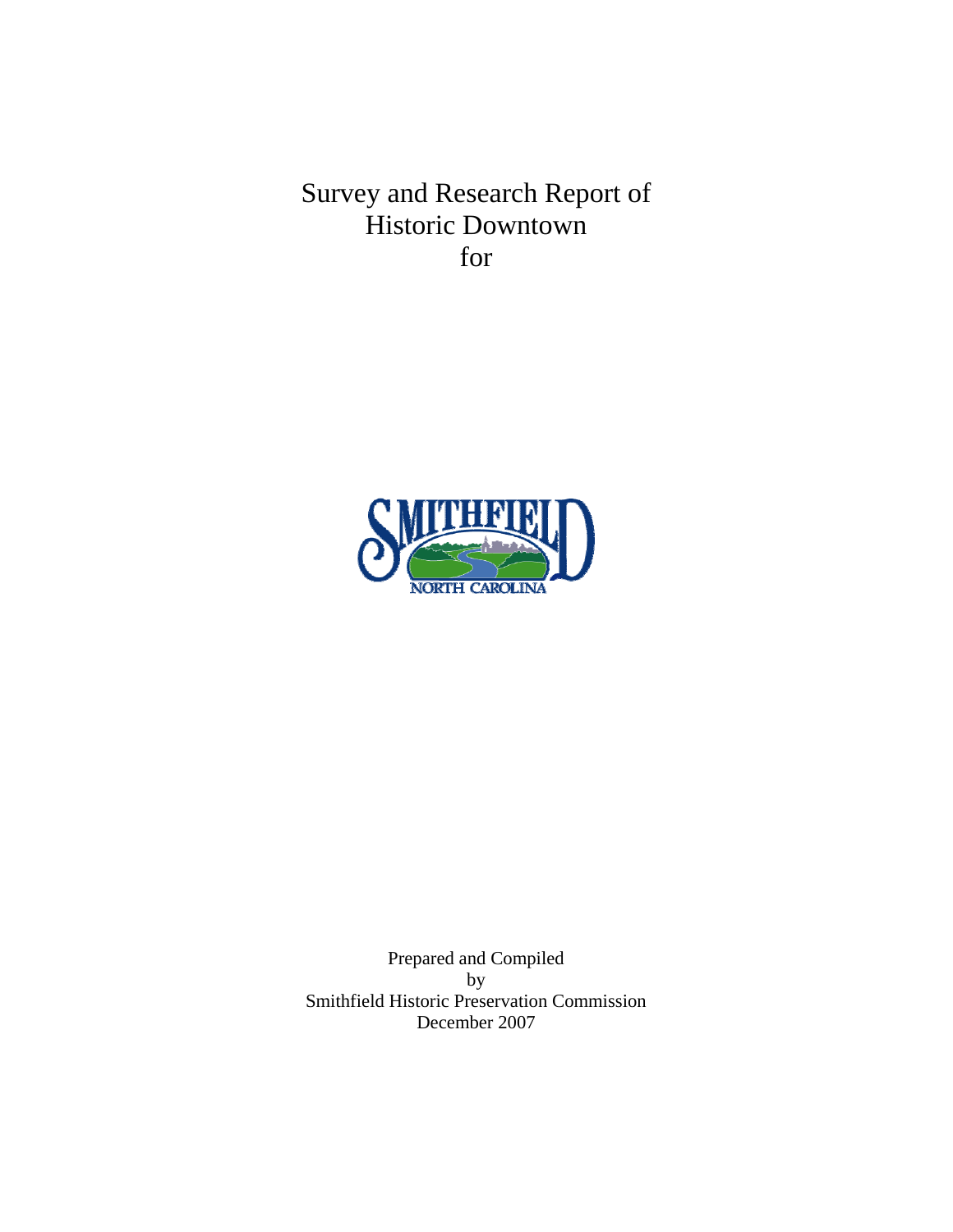Survey and Research Report of Historic Downtown for



Prepared and Compiled by Smithfield Historic Preservation Commission December 2007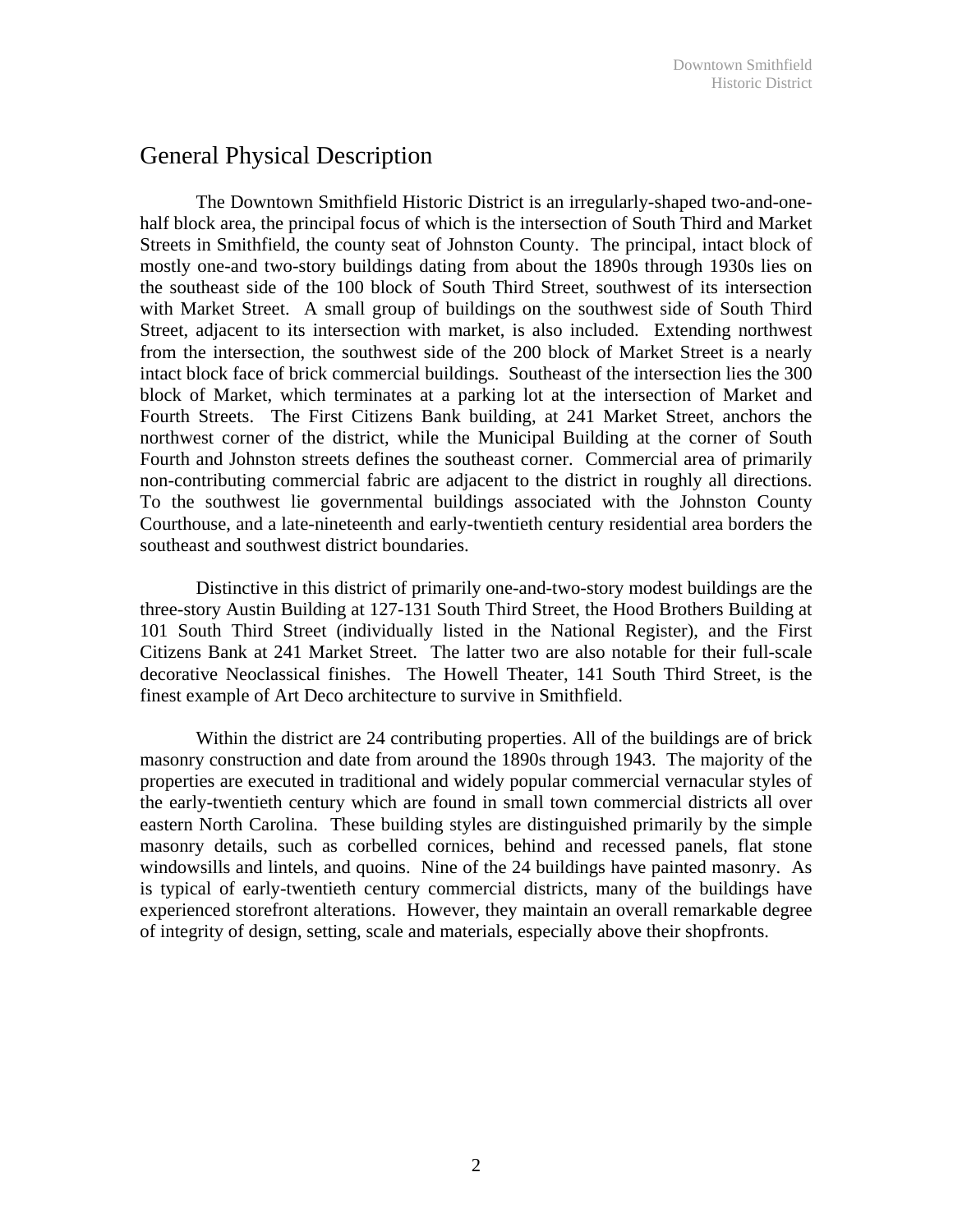## General Physical Description

 The Downtown Smithfield Historic District is an irregularly-shaped two-and-onehalf block area, the principal focus of which is the intersection of South Third and Market Streets in Smithfield, the county seat of Johnston County. The principal, intact block of mostly one-and two-story buildings dating from about the 1890s through 1930s lies on the southeast side of the 100 block of South Third Street, southwest of its intersection with Market Street. A small group of buildings on the southwest side of South Third Street, adjacent to its intersection with market, is also included. Extending northwest from the intersection, the southwest side of the 200 block of Market Street is a nearly intact block face of brick commercial buildings. Southeast of the intersection lies the 300 block of Market, which terminates at a parking lot at the intersection of Market and Fourth Streets. The First Citizens Bank building, at 241 Market Street, anchors the northwest corner of the district, while the Municipal Building at the corner of South Fourth and Johnston streets defines the southeast corner. Commercial area of primarily non-contributing commercial fabric are adjacent to the district in roughly all directions. To the southwest lie governmental buildings associated with the Johnston County Courthouse, and a late-nineteenth and early-twentieth century residential area borders the southeast and southwest district boundaries.

 Distinctive in this district of primarily one-and-two-story modest buildings are the three-story Austin Building at 127-131 South Third Street, the Hood Brothers Building at 101 South Third Street (individually listed in the National Register), and the First Citizens Bank at 241 Market Street. The latter two are also notable for their full-scale decorative Neoclassical finishes. The Howell Theater, 141 South Third Street, is the finest example of Art Deco architecture to survive in Smithfield.

 Within the district are 24 contributing properties. All of the buildings are of brick masonry construction and date from around the 1890s through 1943. The majority of the properties are executed in traditional and widely popular commercial vernacular styles of the early-twentieth century which are found in small town commercial districts all over eastern North Carolina. These building styles are distinguished primarily by the simple masonry details, such as corbelled cornices, behind and recessed panels, flat stone windowsills and lintels, and quoins. Nine of the 24 buildings have painted masonry. As is typical of early-twentieth century commercial districts, many of the buildings have experienced storefront alterations. However, they maintain an overall remarkable degree of integrity of design, setting, scale and materials, especially above their shopfronts.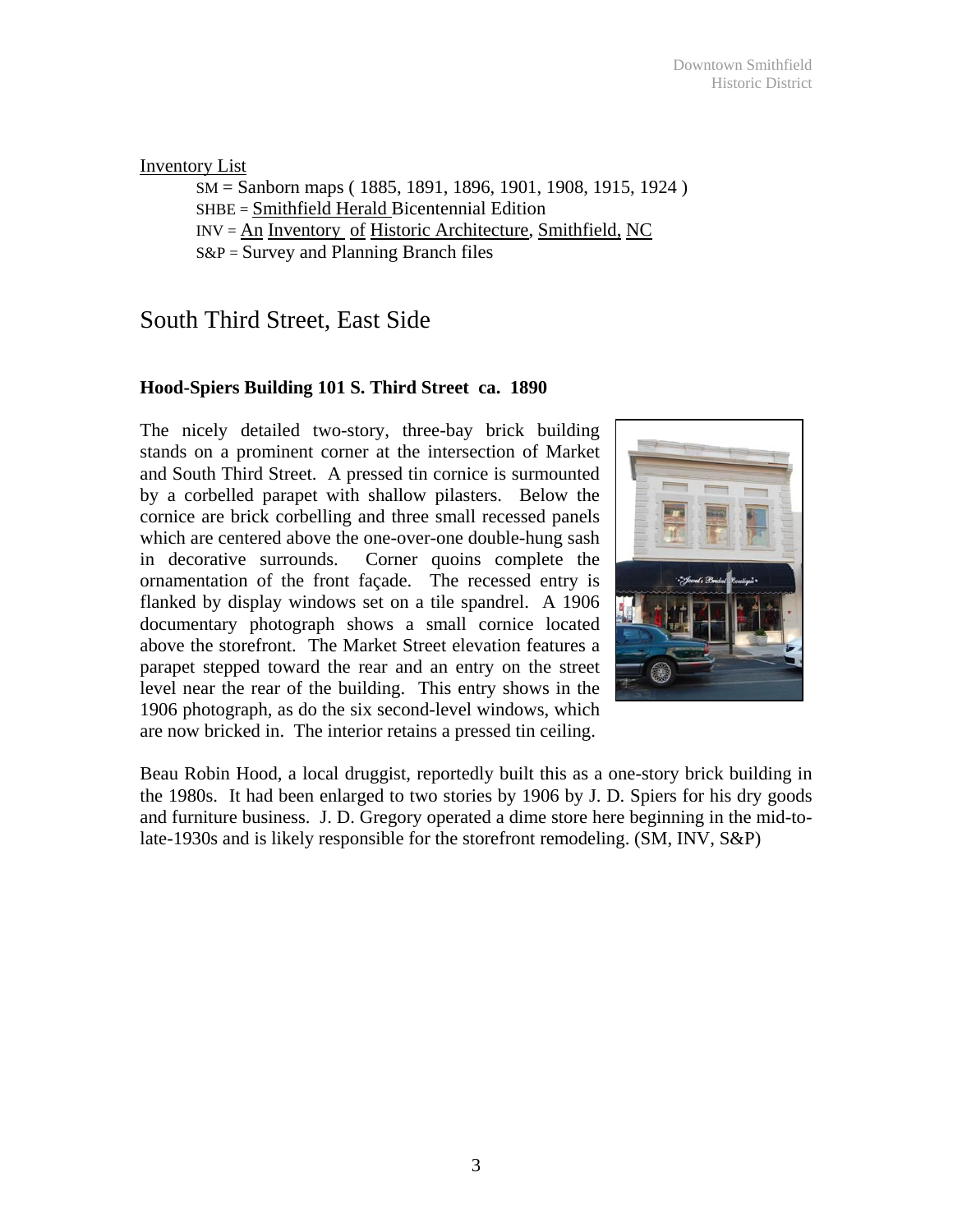#### Inventory List

SM = Sanborn maps ( 1885, 1891, 1896, 1901, 1908, 1915, 1924 ) SHBE = Smithfield Herald Bicentennial Edition INV = An Inventory of Historic Architecture, Smithfield, NC  $S\&P =$  Survey and Planning Branch files

# South Third Street, East Side

### **Hood-Spiers Building 101 S. Third Street ca. 1890**

The nicely detailed two-story, three-bay brick building stands on a prominent corner at the intersection of Market and South Third Street. A pressed tin cornice is surmounted by a corbelled parapet with shallow pilasters. Below the cornice are brick corbelling and three small recessed panels which are centered above the one-over-one double-hung sash in decorative surrounds. Corner quoins complete the ornamentation of the front façade. The recessed entry is flanked by display windows set on a tile spandrel. A 1906 documentary photograph shows a small cornice located above the storefront. The Market Street elevation features a parapet stepped toward the rear and an entry on the street level near the rear of the building. This entry shows in the 1906 photograph, as do the six second-level windows, which are now bricked in. The interior retains a pressed tin ceiling.



Beau Robin Hood, a local druggist, reportedly built this as a one-story brick building in the 1980s. It had been enlarged to two stories by 1906 by J. D. Spiers for his dry goods and furniture business. J. D. Gregory operated a dime store here beginning in the mid-tolate-1930s and is likely responsible for the storefront remodeling. (SM, INV, S&P)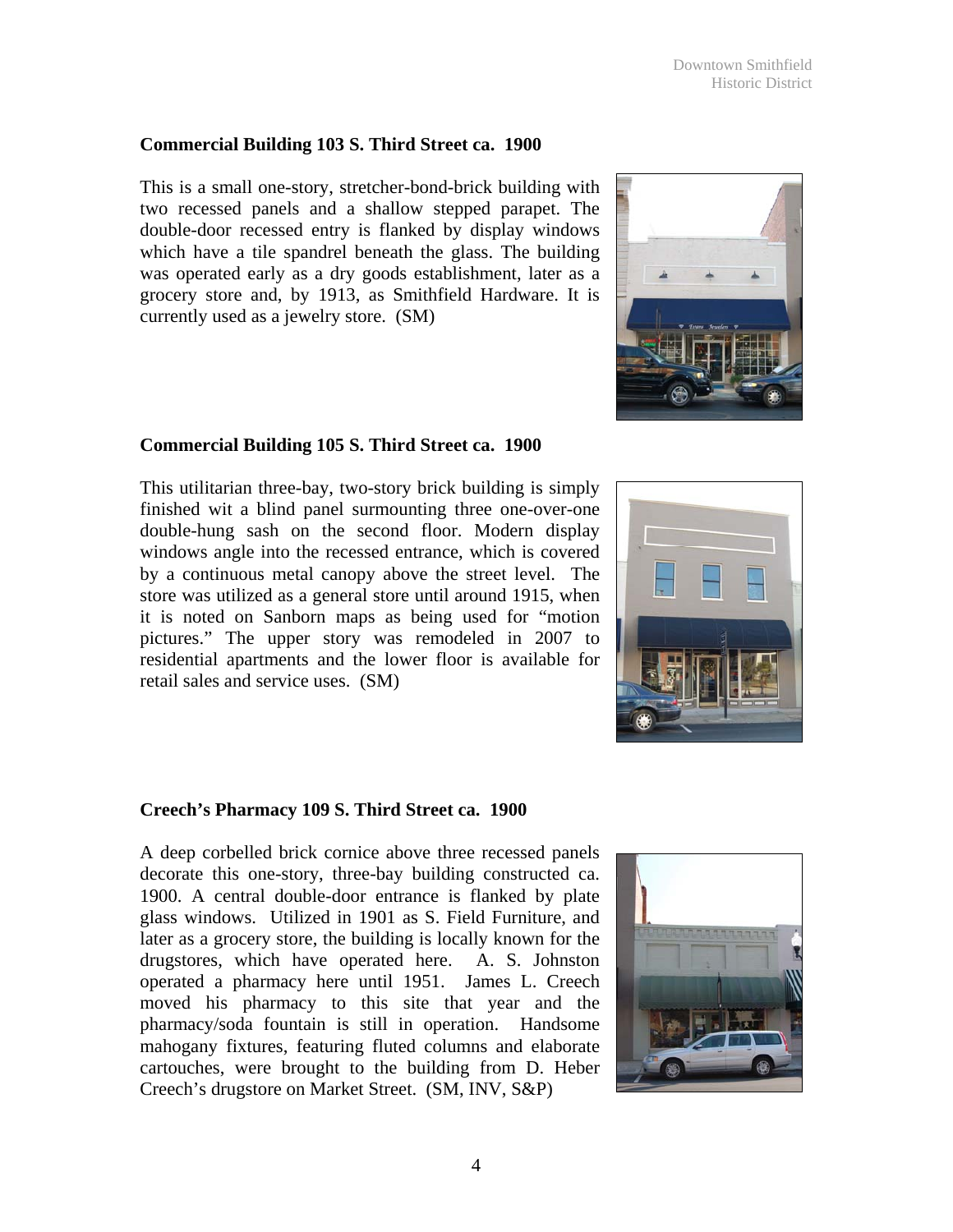Downtown Smithfield Historic District

#### **Commercial Building 103 S. Third Street ca. 1900**

This is a small one-story, stretcher-bond-brick building with two recessed panels and a shallow stepped parapet. The double-door recessed entry is flanked by display windows which have a tile spandrel beneath the glass. The building was operated early as a dry goods establishment, later as a grocery store and, by 1913, as Smithfield Hardware. It is currently used as a jewelry store. (SM)

#### **Commercial Building 105 S. Third Street ca. 1900**

This utilitarian three-bay, two-story brick building is simply finished wit a blind panel surmounting three one-over-one double-hung sash on the second floor. Modern display windows angle into the recessed entrance, which is covered by a continuous metal canopy above the street level. The store was utilized as a general store until around 1915, when it is noted on Sanborn maps as being used for "motion pictures." The upper story was remodeled in 2007 to residential apartments and the lower floor is available for retail sales and service uses. (SM)

#### **Creech's Pharmacy 109 S. Third Street ca. 1900**

A deep corbelled brick cornice above three recessed panels decorate this one-story, three-bay building constructed ca. 1900. A central double-door entrance is flanked by plate glass windows. Utilized in 1901 as S. Field Furniture, and later as a grocery store, the building is locally known for the drugstores, which have operated here. A. S. Johnston operated a pharmacy here until 1951. James L. Creech moved his pharmacy to this site that year and the pharmacy/soda fountain is still in operation. Handsome mahogany fixtures, featuring fluted columns and elaborate cartouches, were brought to the building from D. Heber Creech's drugstore on Market Street. (SM, INV, S&P)





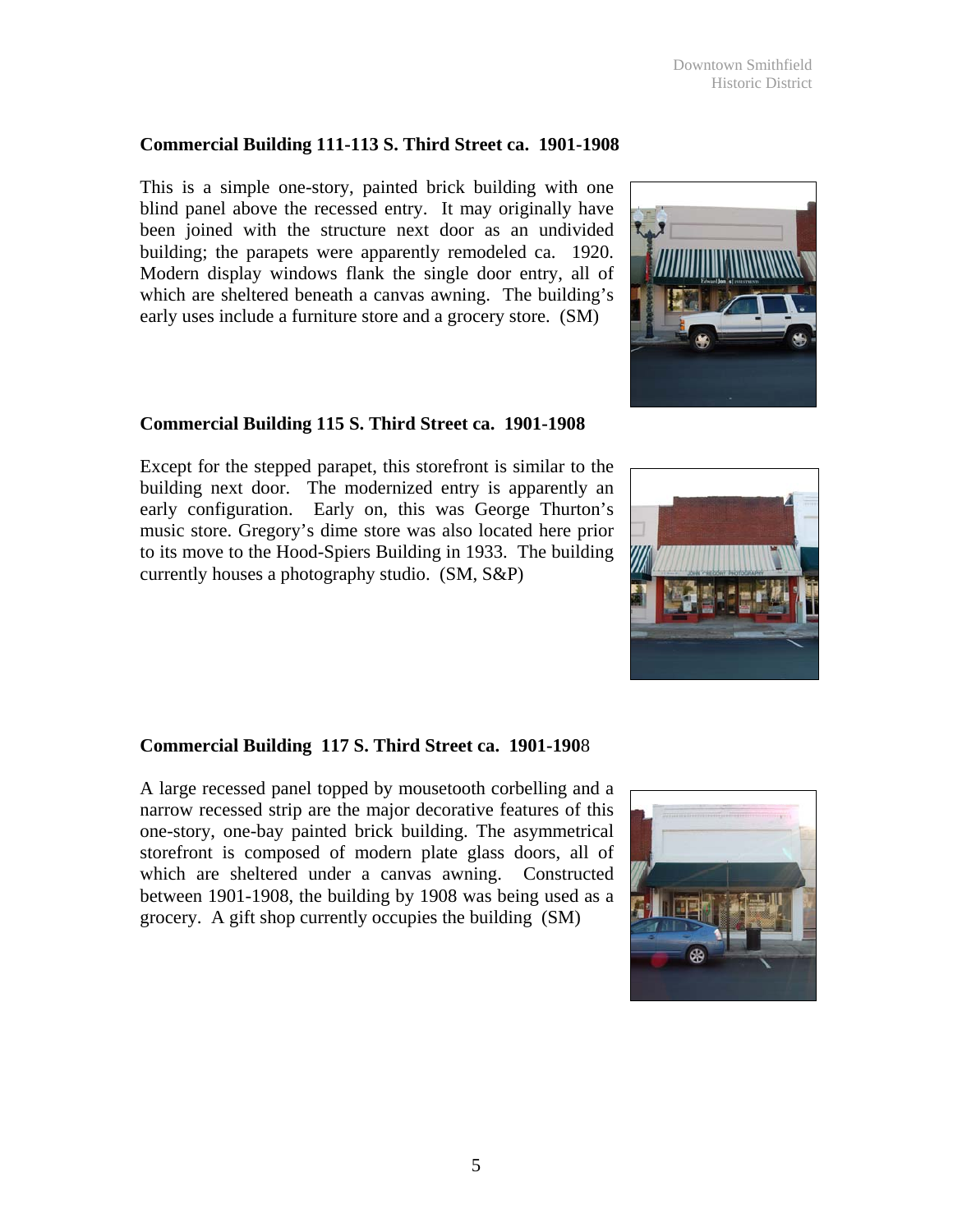5

## **Commercial Building 111-113 S. Third Street ca. 1901-1908**

This is a simple one-story, painted brick building with one blind panel above the recessed entry. It may originally have been joined with the structure next door as an undivided building; the parapets were apparently remodeled ca. 1920. Modern display windows flank the single door entry, all of which are sheltered beneath a canvas awning. The building's early uses include a furniture store and a grocery store. (SM)

## **Commercial Building 115 S. Third Street ca. 1901-1908**

Except for the stepped parapet, this storefront is similar to the building next door. The modernized entry is apparently an early configuration. Early on, this was George Thurton's music store. Gregory's dime store was also located here prior to its move to the Hood-Spiers Building in 1933. The building currently houses a photography studio. (SM, S&P)

## **Commercial Building 117 S. Third Street ca. 1901-190**8

A large recessed panel topped by mousetooth corbelling and a narrow recessed strip are the major decorative features of this one-story, one-bay painted brick building. The asymmetrical storefront is composed of modern plate glass doors, all of which are sheltered under a canvas awning. Constructed between 1901-1908, the building by 1908 was being used as a grocery. A gift shop currently occupies the building (SM)





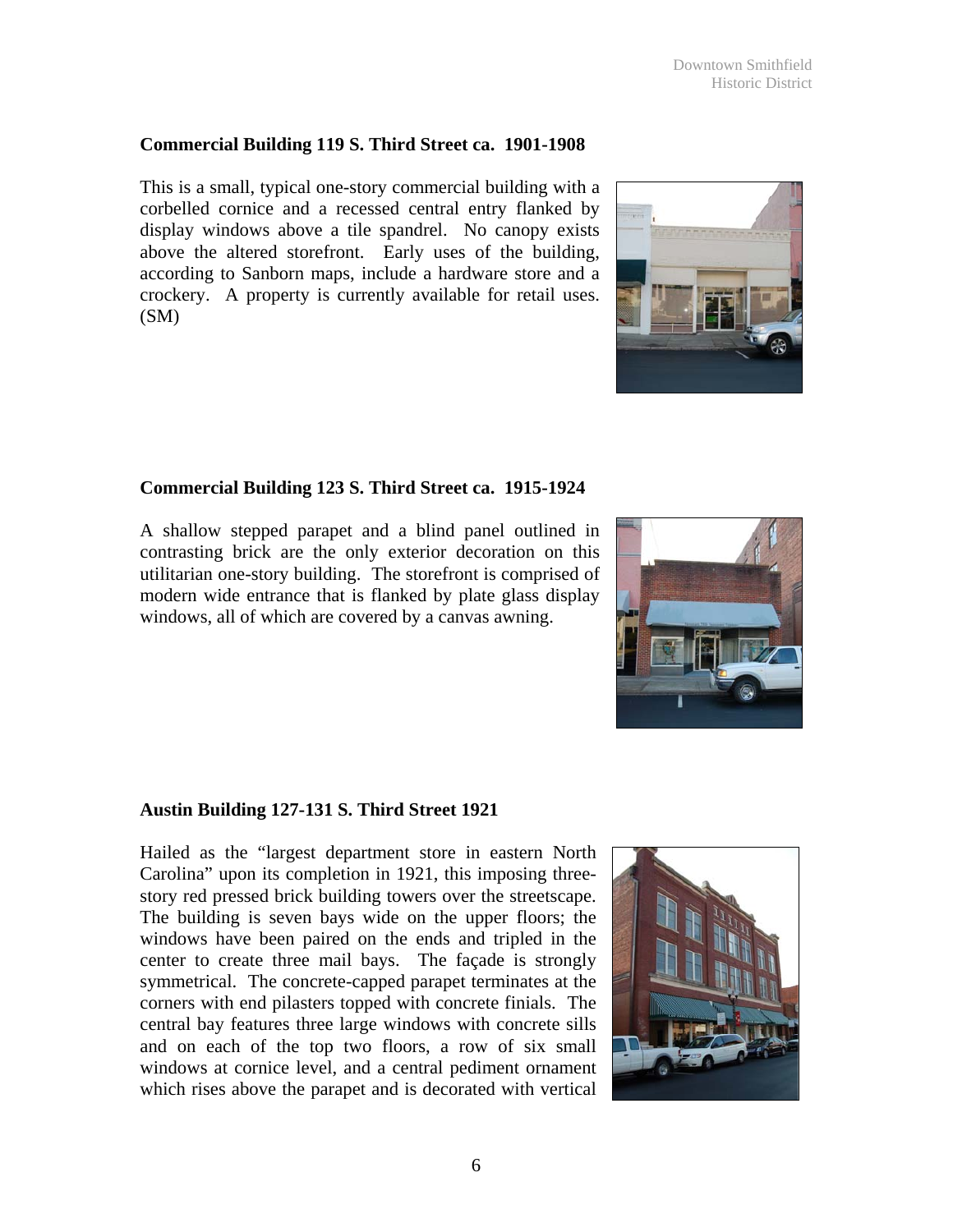## **Commercial Building 119 S. Third Street ca. 1901-1908**

This is a small, typical one-story commercial building with a corbelled cornice and a recessed central entry flanked by display windows above a tile spandrel. No canopy exists above the altered storefront. Early uses of the building, according to Sanborn maps, include a hardware store and a crockery. A property is currently available for retail uses. (SM)

## **Commercial Building 123 S. Third Street ca. 1915-1924**

A shallow stepped parapet and a blind panel outlined in contrasting brick are the only exterior decoration on this utilitarian one-story building. The storefront is comprised of modern wide entrance that is flanked by plate glass display windows, all of which are covered by a canvas awning.

## **Austin Building 127-131 S. Third Street 1921**

Hailed as the "largest department store in eastern North Carolina" upon its completion in 1921, this imposing threestory red pressed brick building towers over the streetscape. The building is seven bays wide on the upper floors; the windows have been paired on the ends and tripled in the center to create three mail bays. The façade is strongly symmetrical. The concrete-capped parapet terminates at the corners with end pilasters topped with concrete finials. The central bay features three large windows with concrete sills and on each of the top two floors, a row of six small windows at cornice level, and a central pediment ornament which rises above the parapet and is decorated with vertical







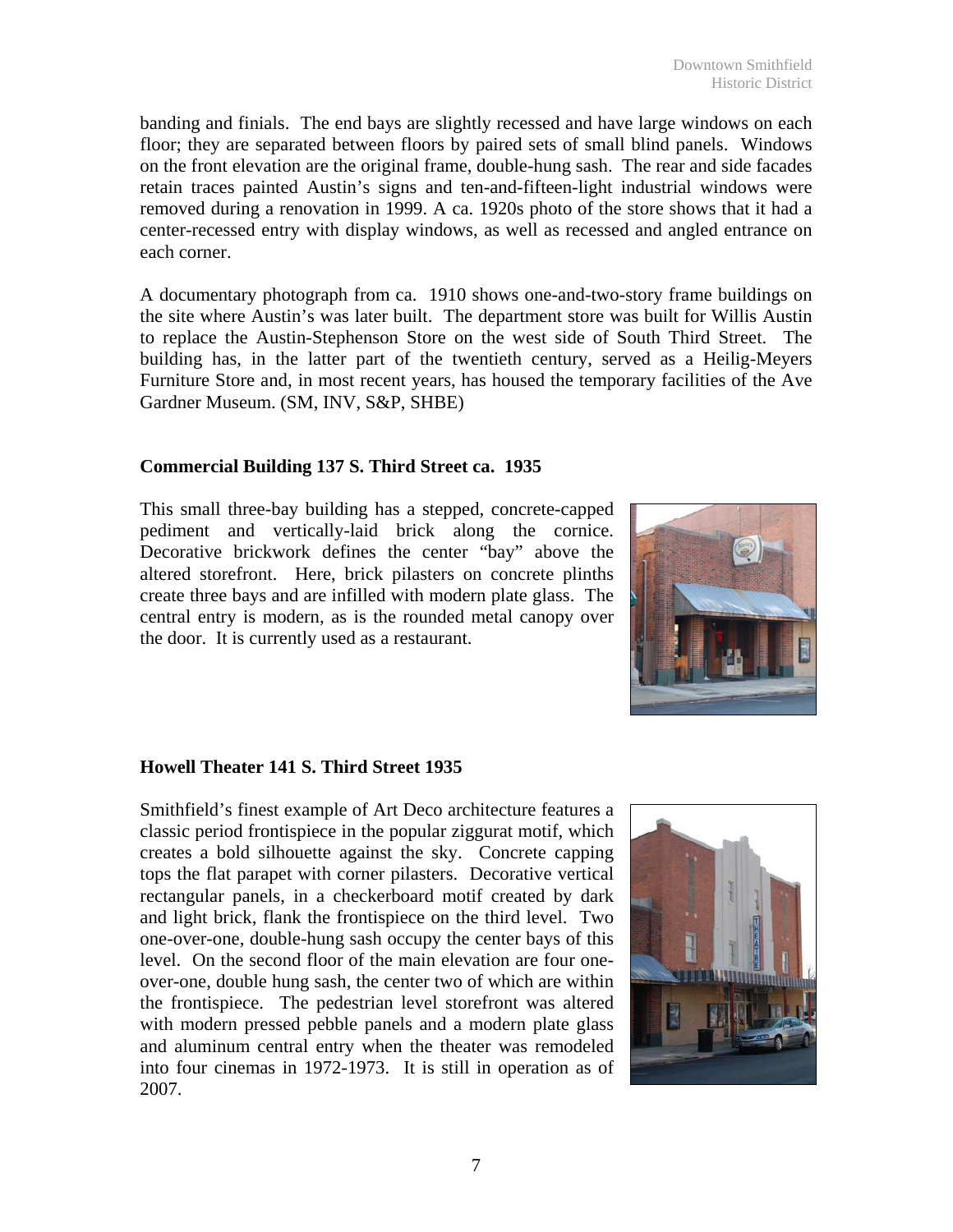banding and finials. The end bays are slightly recessed and have large windows on each floor; they are separated between floors by paired sets of small blind panels. Windows on the front elevation are the original frame, double-hung sash. The rear and side facades retain traces painted Austin's signs and ten-and-fifteen-light industrial windows were removed during a renovation in 1999. A ca. 1920s photo of the store shows that it had a center-recessed entry with display windows, as well as recessed and angled entrance on each corner.

A documentary photograph from ca. 1910 shows one-and-two-story frame buildings on the site where Austin's was later built. The department store was built for Willis Austin to replace the Austin-Stephenson Store on the west side of South Third Street. The building has, in the latter part of the twentieth century, served as a Heilig-Meyers Furniture Store and, in most recent years, has housed the temporary facilities of the Ave Gardner Museum. (SM, INV, S&P, SHBE)

#### **Commercial Building 137 S. Third Street ca. 1935**

This small three-bay building has a stepped, concrete-capped pediment and vertically-laid brick along the cornice. Decorative brickwork defines the center "bay" above the altered storefront. Here, brick pilasters on concrete plinths create three bays and are infilled with modern plate glass. The central entry is modern, as is the rounded metal canopy over the door. It is currently used as a restaurant.



#### **Howell Theater 141 S. Third Street 1935**

Smithfield's finest example of Art Deco architecture features a classic period frontispiece in the popular ziggurat motif, which creates a bold silhouette against the sky. Concrete capping tops the flat parapet with corner pilasters. Decorative vertical rectangular panels, in a checkerboard motif created by dark and light brick, flank the frontispiece on the third level. Two one-over-one, double-hung sash occupy the center bays of this level. On the second floor of the main elevation are four oneover-one, double hung sash, the center two of which are within the frontispiece. The pedestrian level storefront was altered with modern pressed pebble panels and a modern plate glass and aluminum central entry when the theater was remodeled into four cinemas in 1972-1973. It is still in operation as of 2007.

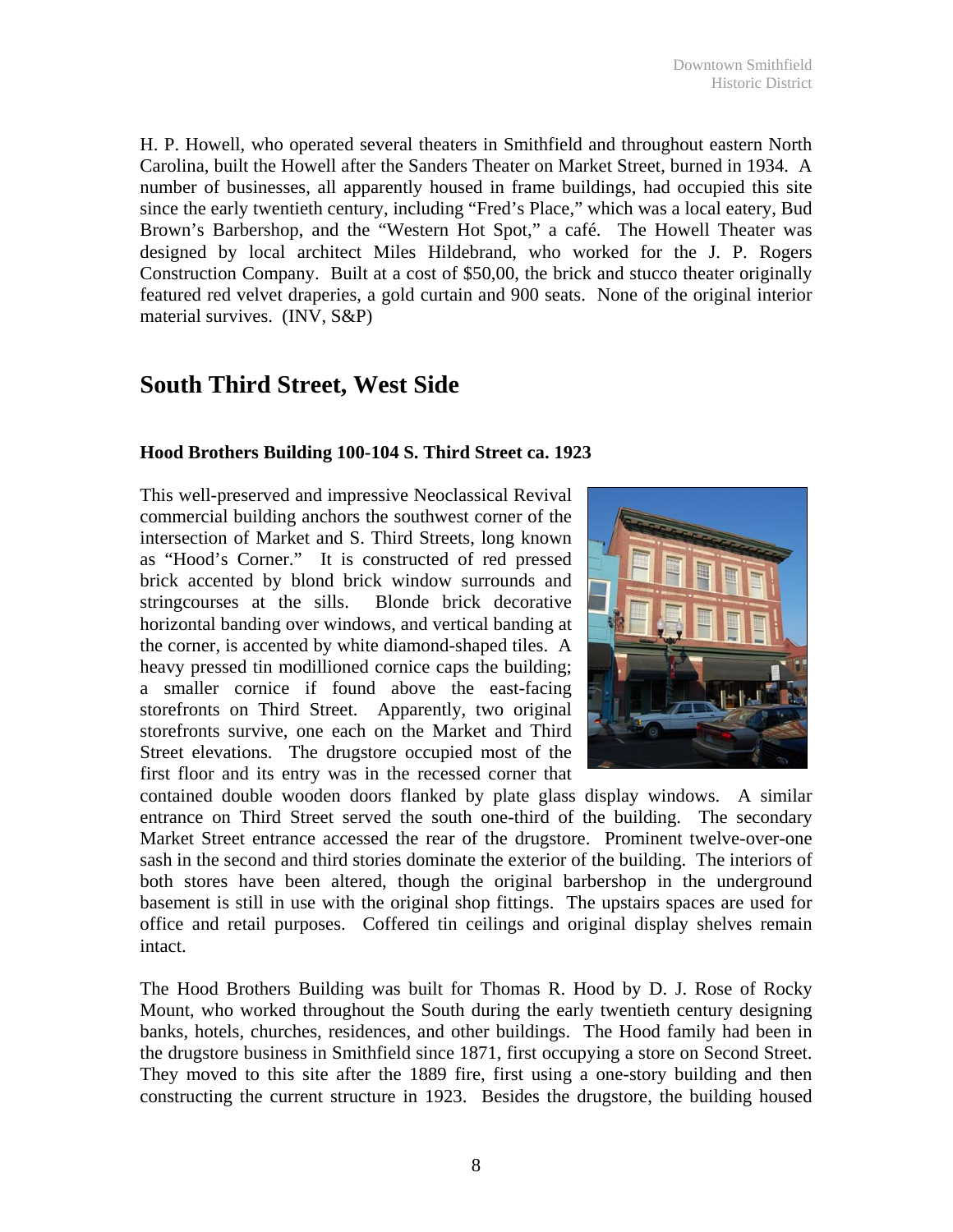H. P. Howell, who operated several theaters in Smithfield and throughout eastern North Carolina, built the Howell after the Sanders Theater on Market Street, burned in 1934. A number of businesses, all apparently housed in frame buildings, had occupied this site since the early twentieth century, including "Fred's Place," which was a local eatery, Bud Brown's Barbershop, and the "Western Hot Spot," a café. The Howell Theater was designed by local architect Miles Hildebrand, who worked for the J. P. Rogers Construction Company. Built at a cost of \$50,00, the brick and stucco theater originally featured red velvet draperies, a gold curtain and 900 seats. None of the original interior material survives. (INV, S&P)

## **South Third Street, West Side**

#### **Hood Brothers Building 100-104 S. Third Street ca. 1923**

This well-preserved and impressive Neoclassical Revival commercial building anchors the southwest corner of the intersection of Market and S. Third Streets, long known as "Hood's Corner." It is constructed of red pressed brick accented by blond brick window surrounds and stringcourses at the sills. Blonde brick decorative horizontal banding over windows, and vertical banding at the corner, is accented by white diamond-shaped tiles. A heavy pressed tin modillioned cornice caps the building; a smaller cornice if found above the east-facing storefronts on Third Street. Apparently, two original storefronts survive, one each on the Market and Third Street elevations. The drugstore occupied most of the first floor and its entry was in the recessed corner that



contained double wooden doors flanked by plate glass display windows. A similar entrance on Third Street served the south one-third of the building. The secondary Market Street entrance accessed the rear of the drugstore. Prominent twelve-over-one sash in the second and third stories dominate the exterior of the building. The interiors of both stores have been altered, though the original barbershop in the underground basement is still in use with the original shop fittings. The upstairs spaces are used for office and retail purposes. Coffered tin ceilings and original display shelves remain intact.

The Hood Brothers Building was built for Thomas R. Hood by D. J. Rose of Rocky Mount, who worked throughout the South during the early twentieth century designing banks, hotels, churches, residences, and other buildings. The Hood family had been in the drugstore business in Smithfield since 1871, first occupying a store on Second Street. They moved to this site after the 1889 fire, first using a one-story building and then constructing the current structure in 1923. Besides the drugstore, the building housed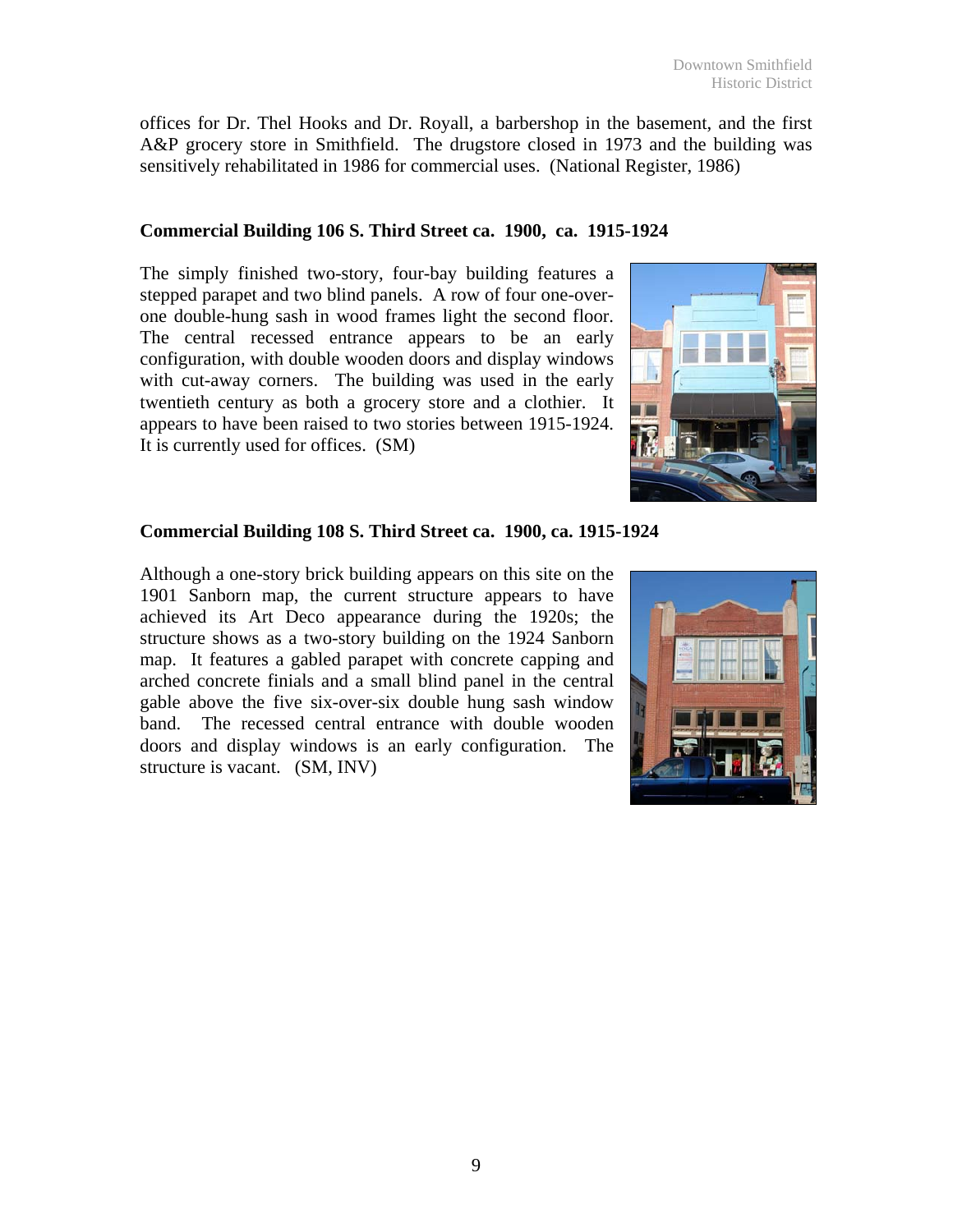offices for Dr. Thel Hooks and Dr. Royall, a barbershop in the basement, and the first A&P grocery store in Smithfield. The drugstore closed in 1973 and the building was sensitively rehabilitated in 1986 for commercial uses. (National Register, 1986)

### **Commercial Building 106 S. Third Street ca. 1900, ca. 1915-1924**

The simply finished two-story, four-bay building features a stepped parapet and two blind panels. A row of four one-overone double-hung sash in wood frames light the second floor. The central recessed entrance appears to be an early configuration, with double wooden doors and display windows with cut-away corners. The building was used in the early twentieth century as both a grocery store and a clothier. It appears to have been raised to two stories between 1915-1924. It is currently used for offices. (SM)



### **Commercial Building 108 S. Third Street ca. 1900, ca. 1915-1924**

Although a one-story brick building appears on this site on the 1901 Sanborn map, the current structure appears to have achieved its Art Deco appearance during the 1920s; the structure shows as a two-story building on the 1924 Sanborn map. It features a gabled parapet with concrete capping and arched concrete finials and a small blind panel in the central gable above the five six-over-six double hung sash window band. The recessed central entrance with double wooden doors and display windows is an early configuration. The structure is vacant. (SM, INV)

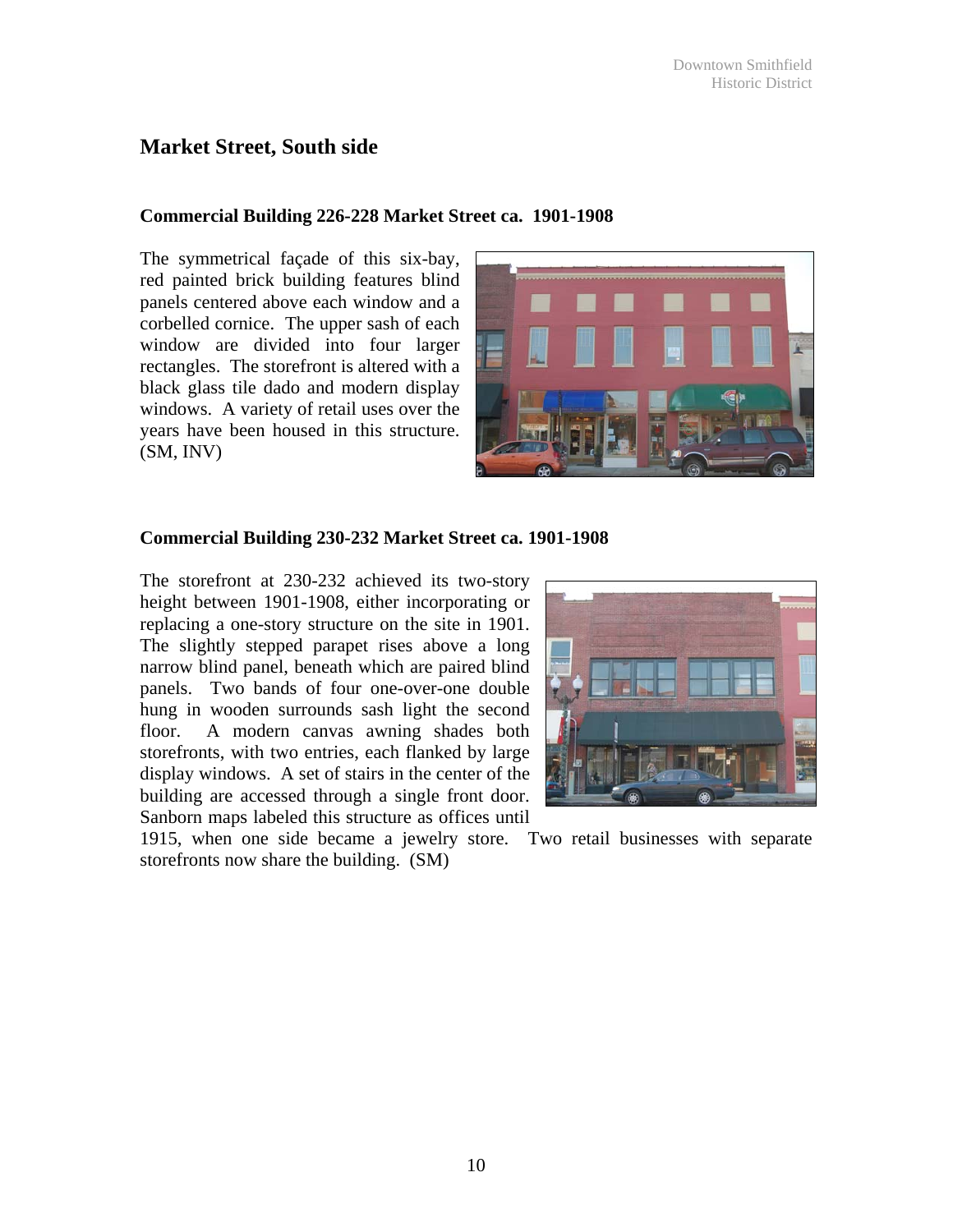## **Market Street, South side**

#### **Commercial Building 226-228 Market Street ca. 1901-1908**

The symmetrical façade of this six-bay, red painted brick building features blind panels centered above each window and a corbelled cornice. The upper sash of each window are divided into four larger rectangles. The storefront is altered with a black glass tile dado and modern display windows. A variety of retail uses over the years have been housed in this structure. (SM, INV)



#### **Commercial Building 230-232 Market Street ca. 1901-1908**

The storefront at 230-232 achieved its two-story height between 1901-1908, either incorporating or replacing a one-story structure on the site in 1901. The slightly stepped parapet rises above a long narrow blind panel, beneath which are paired blind panels. Two bands of four one-over-one double hung in wooden surrounds sash light the second floor. A modern canvas awning shades both storefronts, with two entries, each flanked by large display windows. A set of stairs in the center of the building are accessed through a single front door. Sanborn maps labeled this structure as offices until



1915, when one side became a jewelry store. Two retail businesses with separate storefronts now share the building. (SM)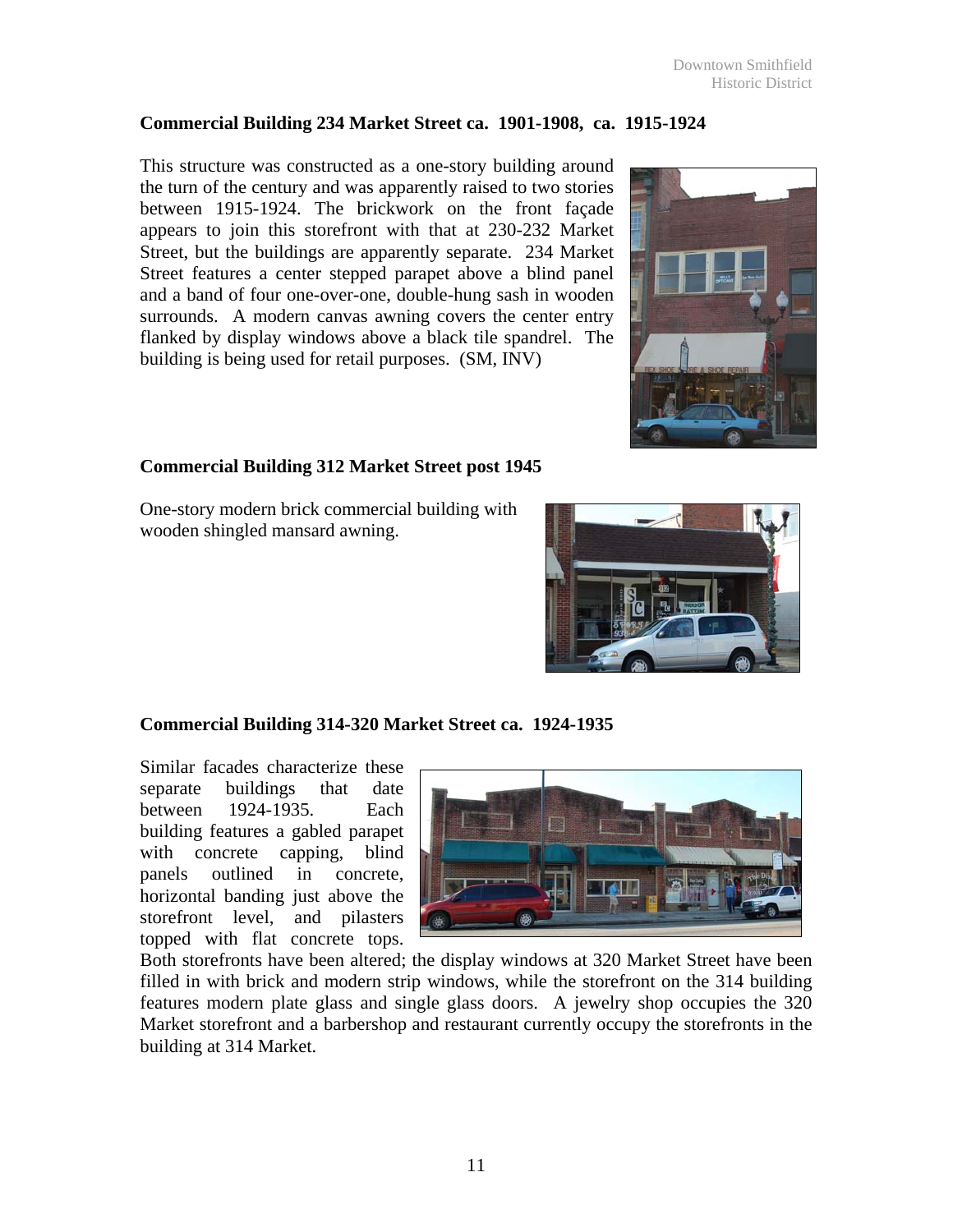### **Commercial Building 234 Market Street ca. 1901-1908, ca. 1915-1924**

This structure was constructed as a one-story building around the turn of the century and was apparently raised to two stories between 1915-1924. The brickwork on the front façade appears to join this storefront with that at 230-232 Market Street, but the buildings are apparently separate. 234 Market Street features a center stepped parapet above a blind panel and a band of four one-over-one, double-hung sash in wooden surrounds. A modern canvas awning covers the center entry flanked by display windows above a black tile spandrel. The building is being used for retail purposes. (SM, INV)



### **Commercial Building 312 Market Street post 1945**

One-story modern brick commercial building with wooden shingled mansard awning.



### **Commercial Building 314-320 Market Street ca. 1924-1935**

Similar facades characterize these separate buildings that date between 1924-1935. Each building features a gabled parapet with concrete capping, blind panels outlined in concrete, horizontal banding just above the storefront level, and pilasters topped with flat concrete tops.



Both storefronts have been altered; the display windows at 320 Market Street have been filled in with brick and modern strip windows, while the storefront on the 314 building features modern plate glass and single glass doors. A jewelry shop occupies the 320 Market storefront and a barbershop and restaurant currently occupy the storefronts in the building at 314 Market.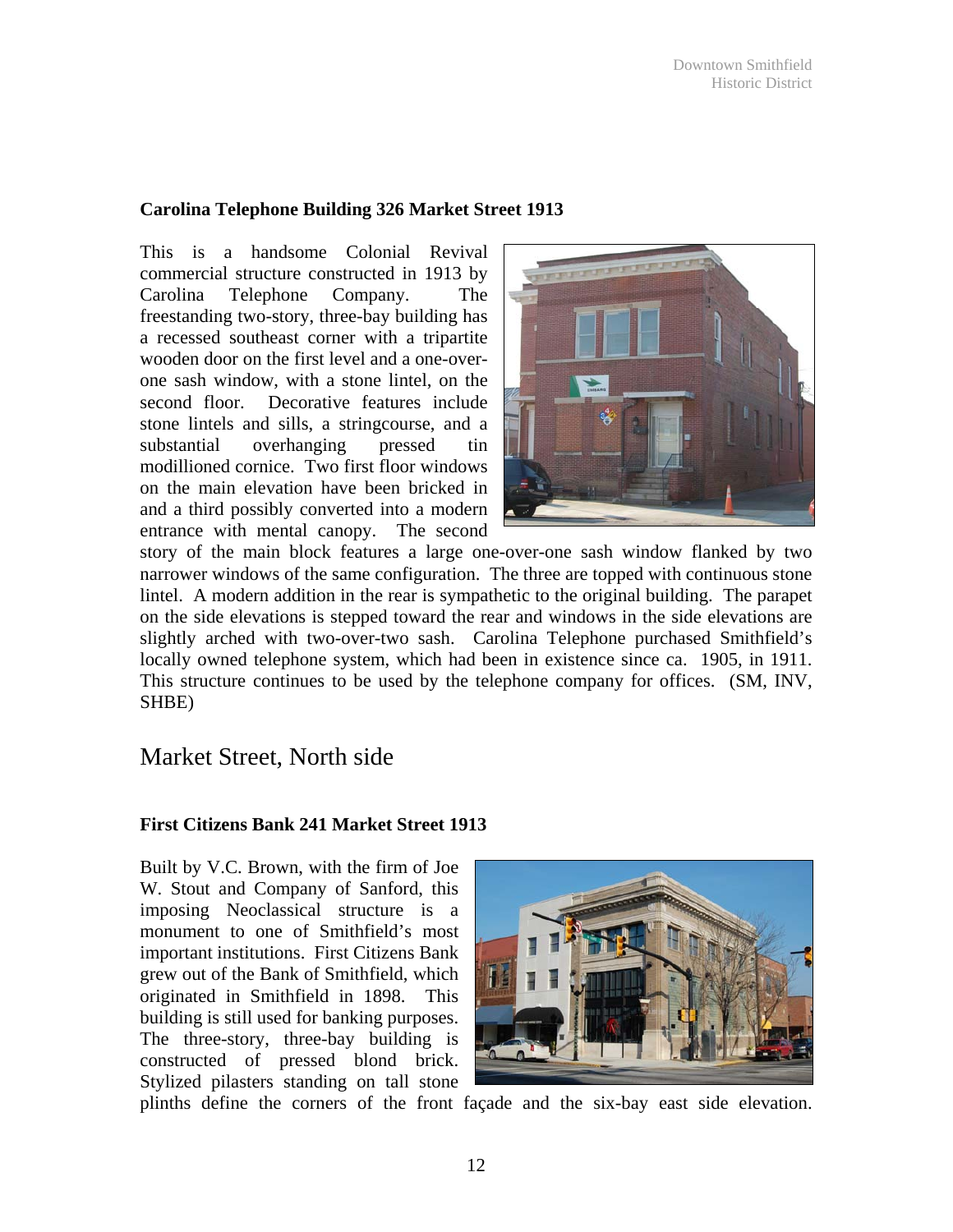### **Carolina Telephone Building 326 Market Street 1913**

This is a handsome Colonial Revival commercial structure constructed in 1913 by Carolina Telephone Company. The freestanding two-story, three-bay building has a recessed southeast corner with a tripartite wooden door on the first level and a one-overone sash window, with a stone lintel, on the second floor. Decorative features include stone lintels and sills, a stringcourse, and a substantial overhanging pressed tin modillioned cornice. Two first floor windows on the main elevation have been bricked in and a third possibly converted into a modern entrance with mental canopy. The second



story of the main block features a large one-over-one sash window flanked by two narrower windows of the same configuration. The three are topped with continuous stone lintel. A modern addition in the rear is sympathetic to the original building. The parapet on the side elevations is stepped toward the rear and windows in the side elevations are slightly arched with two-over-two sash. Carolina Telephone purchased Smithfield's locally owned telephone system, which had been in existence since ca. 1905, in 1911. This structure continues to be used by the telephone company for offices. (SM, INV, SHBE)

## Market Street, North side

### **First Citizens Bank 241 Market Street 1913**

Built by V.C. Brown, with the firm of Joe W. Stout and Company of Sanford, this imposing Neoclassical structure is a monument to one of Smithfield's most important institutions. First Citizens Bank grew out of the Bank of Smithfield, which originated in Smithfield in 1898. This building is still used for banking purposes. The three-story, three-bay building is constructed of pressed blond brick. Stylized pilasters standing on tall stone



plinths define the corners of the front façade and the six-bay east side elevation.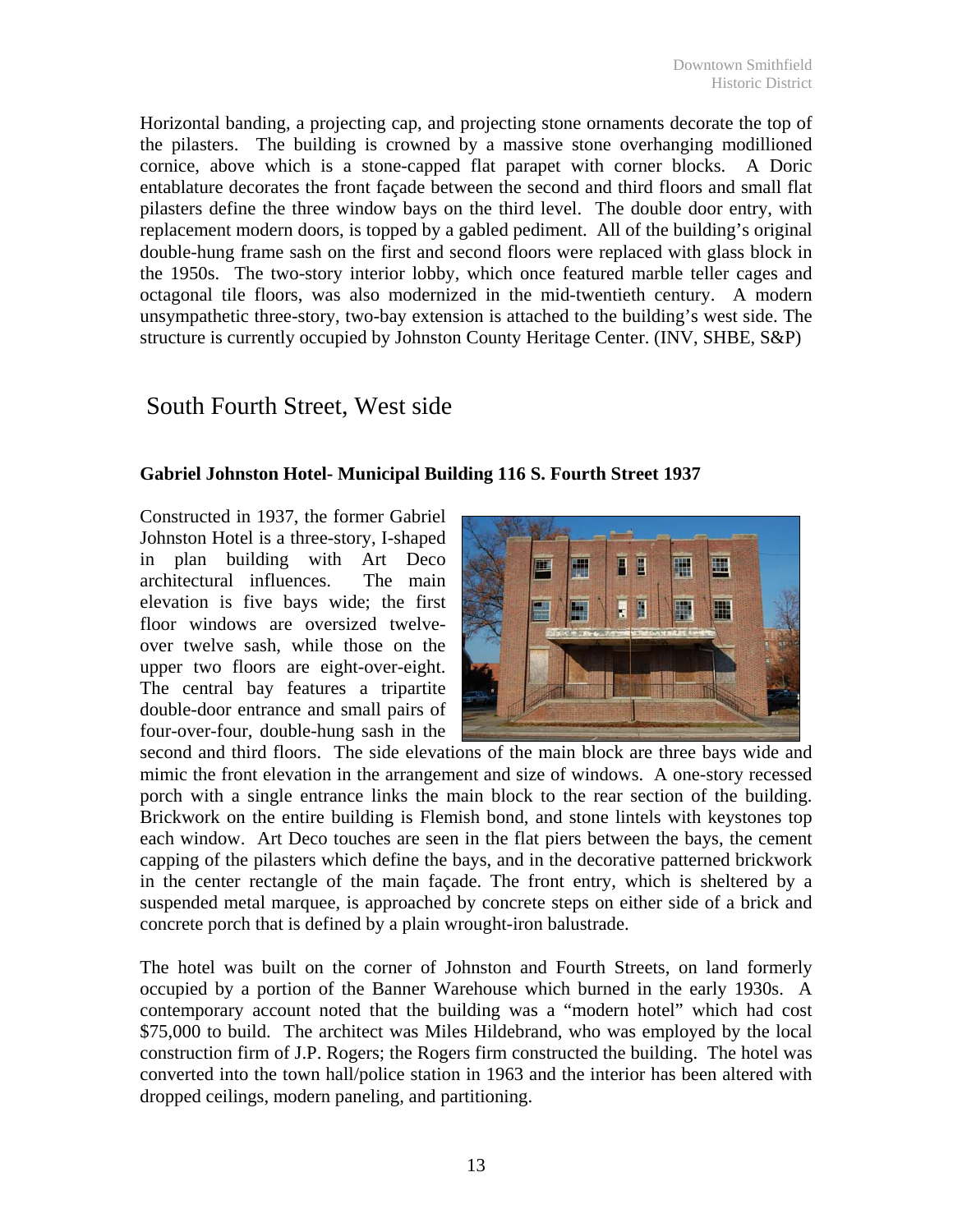Horizontal banding, a projecting cap, and projecting stone ornaments decorate the top of the pilasters. The building is crowned by a massive stone overhanging modillioned cornice, above which is a stone-capped flat parapet with corner blocks. A Doric entablature decorates the front façade between the second and third floors and small flat pilasters define the three window bays on the third level. The double door entry, with replacement modern doors, is topped by a gabled pediment. All of the building's original double-hung frame sash on the first and second floors were replaced with glass block in the 1950s. The two-story interior lobby, which once featured marble teller cages and octagonal tile floors, was also modernized in the mid-twentieth century. A modern unsympathetic three-story, two-bay extension is attached to the building's west side. The structure is currently occupied by Johnston County Heritage Center. (INV, SHBE, S&P)

## South Fourth Street, West side

### **Gabriel Johnston Hotel- Municipal Building 116 S. Fourth Street 1937**

Constructed in 1937, the former Gabriel Johnston Hotel is a three-story, I-shaped in plan building with Art Deco architectural influences. The main elevation is five bays wide; the first floor windows are oversized twelveover twelve sash, while those on the upper two floors are eight-over-eight. The central bay features a tripartite double-door entrance and small pairs of four-over-four, double-hung sash in the



second and third floors. The side elevations of the main block are three bays wide and mimic the front elevation in the arrangement and size of windows. A one-story recessed porch with a single entrance links the main block to the rear section of the building. Brickwork on the entire building is Flemish bond, and stone lintels with keystones top each window. Art Deco touches are seen in the flat piers between the bays, the cement capping of the pilasters which define the bays, and in the decorative patterned brickwork in the center rectangle of the main façade. The front entry, which is sheltered by a suspended metal marquee, is approached by concrete steps on either side of a brick and concrete porch that is defined by a plain wrought-iron balustrade.

The hotel was built on the corner of Johnston and Fourth Streets, on land formerly occupied by a portion of the Banner Warehouse which burned in the early 1930s. A contemporary account noted that the building was a "modern hotel" which had cost \$75,000 to build. The architect was Miles Hildebrand, who was employed by the local construction firm of J.P. Rogers; the Rogers firm constructed the building. The hotel was converted into the town hall/police station in 1963 and the interior has been altered with dropped ceilings, modern paneling, and partitioning.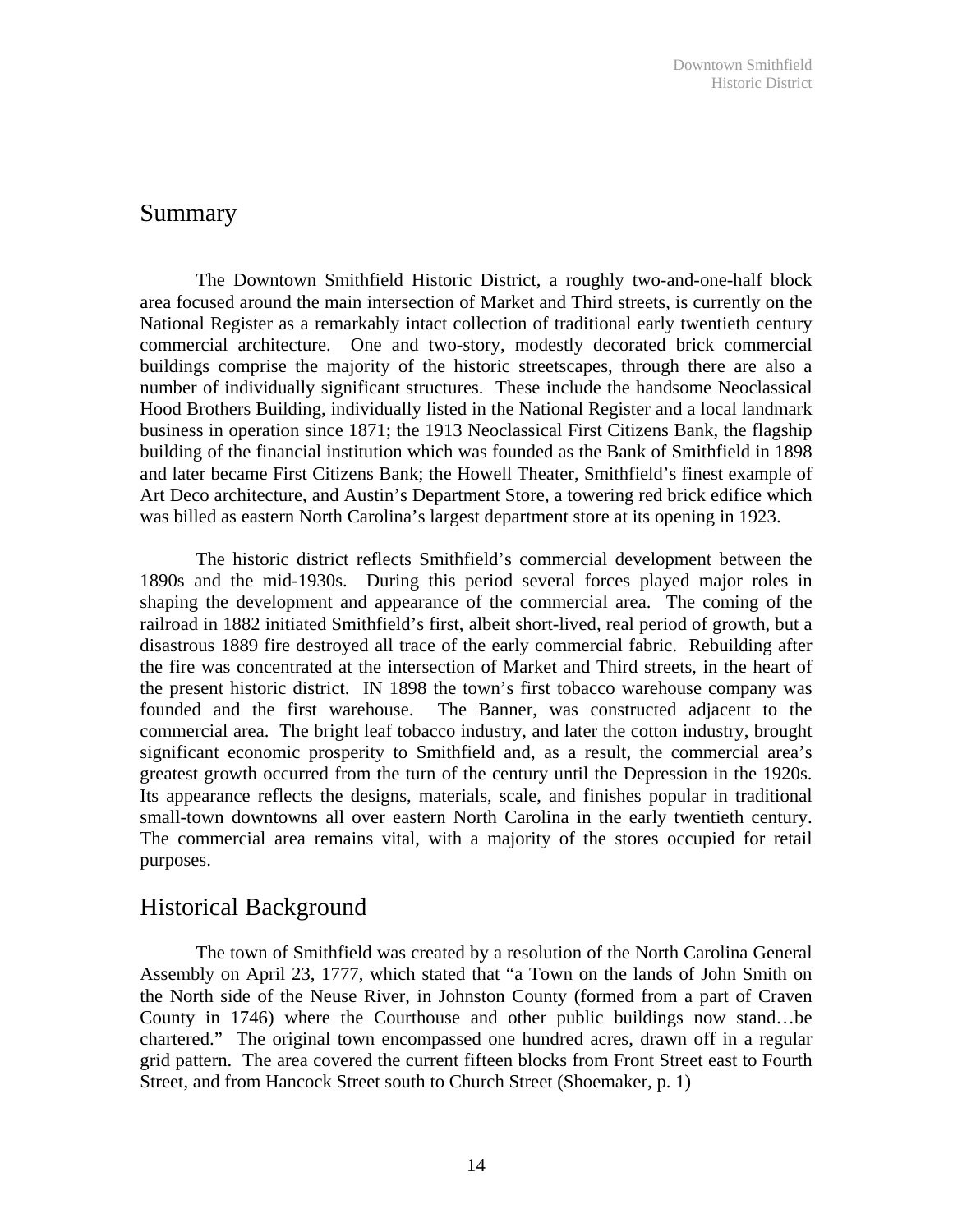## Summary

 The Downtown Smithfield Historic District, a roughly two-and-one-half block area focused around the main intersection of Market and Third streets, is currently on the National Register as a remarkably intact collection of traditional early twentieth century commercial architecture. One and two-story, modestly decorated brick commercial buildings comprise the majority of the historic streetscapes, through there are also a number of individually significant structures. These include the handsome Neoclassical Hood Brothers Building, individually listed in the National Register and a local landmark business in operation since 1871; the 1913 Neoclassical First Citizens Bank, the flagship building of the financial institution which was founded as the Bank of Smithfield in 1898 and later became First Citizens Bank; the Howell Theater, Smithfield's finest example of Art Deco architecture, and Austin's Department Store, a towering red brick edifice which was billed as eastern North Carolina's largest department store at its opening in 1923.

 The historic district reflects Smithfield's commercial development between the 1890s and the mid-1930s. During this period several forces played major roles in shaping the development and appearance of the commercial area. The coming of the railroad in 1882 initiated Smithfield's first, albeit short-lived, real period of growth, but a disastrous 1889 fire destroyed all trace of the early commercial fabric. Rebuilding after the fire was concentrated at the intersection of Market and Third streets, in the heart of the present historic district. IN 1898 the town's first tobacco warehouse company was founded and the first warehouse. The Banner, was constructed adjacent to the commercial area. The bright leaf tobacco industry, and later the cotton industry, brought significant economic prosperity to Smithfield and, as a result, the commercial area's greatest growth occurred from the turn of the century until the Depression in the 1920s. Its appearance reflects the designs, materials, scale, and finishes popular in traditional small-town downtowns all over eastern North Carolina in the early twentieth century. The commercial area remains vital, with a majority of the stores occupied for retail purposes.

## Historical Background

 The town of Smithfield was created by a resolution of the North Carolina General Assembly on April 23, 1777, which stated that "a Town on the lands of John Smith on the North side of the Neuse River, in Johnston County (formed from a part of Craven County in 1746) where the Courthouse and other public buildings now stand…be chartered." The original town encompassed one hundred acres, drawn off in a regular grid pattern. The area covered the current fifteen blocks from Front Street east to Fourth Street, and from Hancock Street south to Church Street (Shoemaker, p. 1)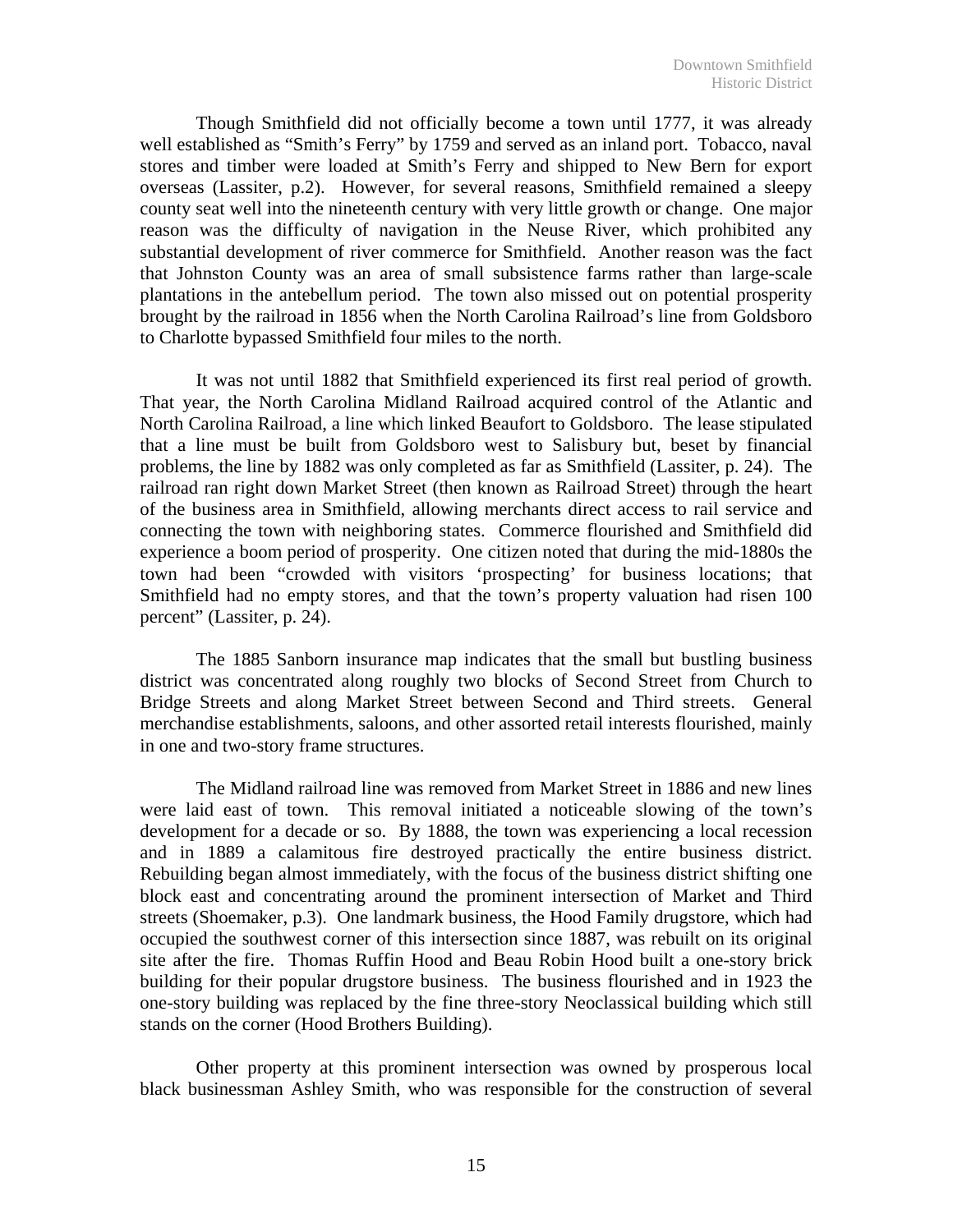Though Smithfield did not officially become a town until 1777, it was already well established as "Smith's Ferry" by 1759 and served as an inland port. Tobacco, naval stores and timber were loaded at Smith's Ferry and shipped to New Bern for export overseas (Lassiter, p.2). However, for several reasons, Smithfield remained a sleepy county seat well into the nineteenth century with very little growth or change. One major reason was the difficulty of navigation in the Neuse River, which prohibited any substantial development of river commerce for Smithfield. Another reason was the fact that Johnston County was an area of small subsistence farms rather than large-scale plantations in the antebellum period. The town also missed out on potential prosperity brought by the railroad in 1856 when the North Carolina Railroad's line from Goldsboro to Charlotte bypassed Smithfield four miles to the north.

 It was not until 1882 that Smithfield experienced its first real period of growth. That year, the North Carolina Midland Railroad acquired control of the Atlantic and North Carolina Railroad, a line which linked Beaufort to Goldsboro. The lease stipulated that a line must be built from Goldsboro west to Salisbury but, beset by financial problems, the line by 1882 was only completed as far as Smithfield (Lassiter, p. 24). The railroad ran right down Market Street (then known as Railroad Street) through the heart of the business area in Smithfield, allowing merchants direct access to rail service and connecting the town with neighboring states. Commerce flourished and Smithfield did experience a boom period of prosperity. One citizen noted that during the mid-1880s the town had been "crowded with visitors 'prospecting' for business locations; that Smithfield had no empty stores, and that the town's property valuation had risen 100 percent" (Lassiter, p. 24).

 The 1885 Sanborn insurance map indicates that the small but bustling business district was concentrated along roughly two blocks of Second Street from Church to Bridge Streets and along Market Street between Second and Third streets. General merchandise establishments, saloons, and other assorted retail interests flourished, mainly in one and two-story frame structures.

 The Midland railroad line was removed from Market Street in 1886 and new lines were laid east of town. This removal initiated a noticeable slowing of the town's development for a decade or so. By 1888, the town was experiencing a local recession and in 1889 a calamitous fire destroyed practically the entire business district. Rebuilding began almost immediately, with the focus of the business district shifting one block east and concentrating around the prominent intersection of Market and Third streets (Shoemaker, p.3). One landmark business, the Hood Family drugstore, which had occupied the southwest corner of this intersection since 1887, was rebuilt on its original site after the fire. Thomas Ruffin Hood and Beau Robin Hood built a one-story brick building for their popular drugstore business. The business flourished and in 1923 the one-story building was replaced by the fine three-story Neoclassical building which still stands on the corner (Hood Brothers Building).

 Other property at this prominent intersection was owned by prosperous local black businessman Ashley Smith, who was responsible for the construction of several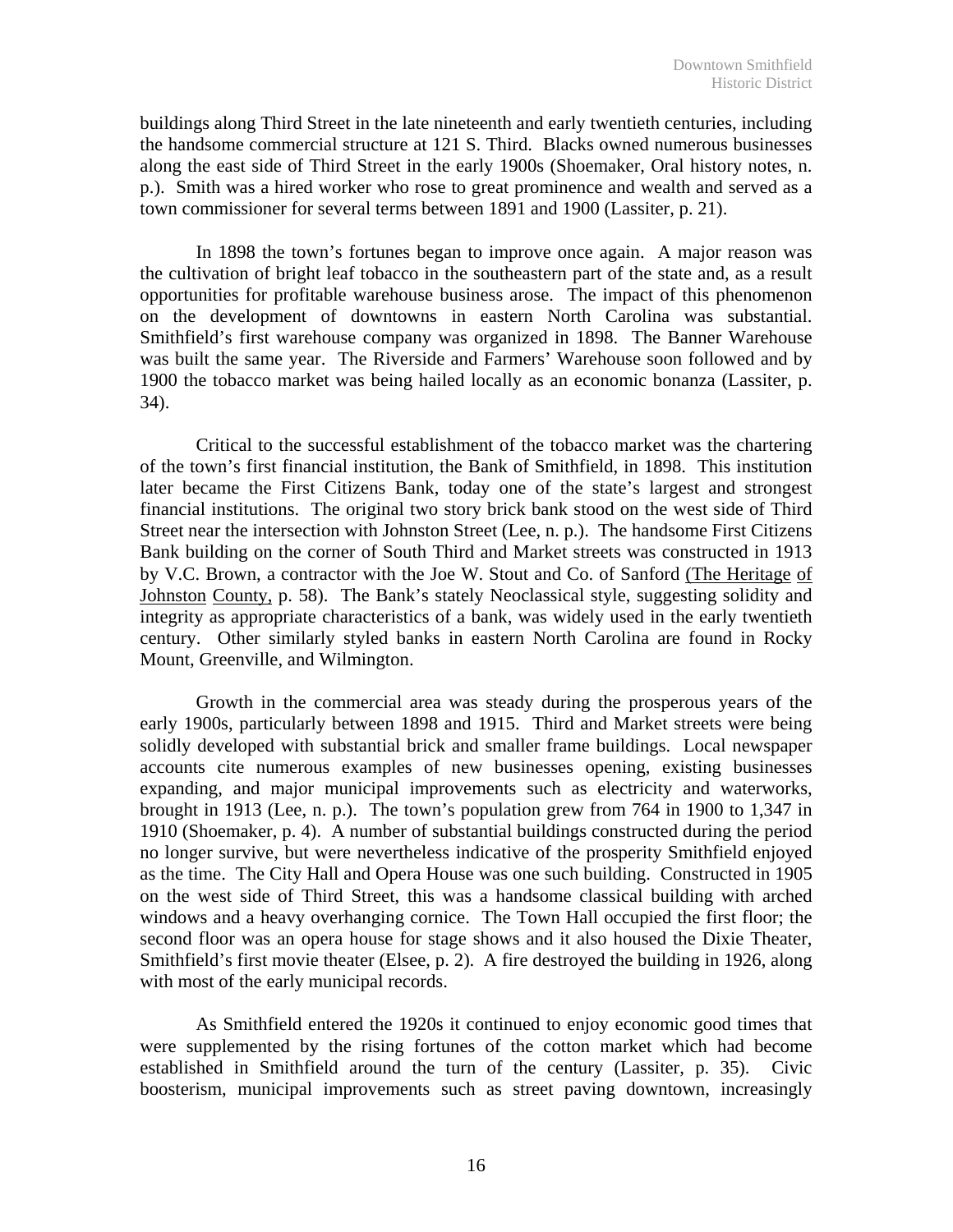buildings along Third Street in the late nineteenth and early twentieth centuries, including the handsome commercial structure at 121 S. Third. Blacks owned numerous businesses along the east side of Third Street in the early 1900s (Shoemaker, Oral history notes, n. p.). Smith was a hired worker who rose to great prominence and wealth and served as a town commissioner for several terms between 1891 and 1900 (Lassiter, p. 21).

 In 1898 the town's fortunes began to improve once again. A major reason was the cultivation of bright leaf tobacco in the southeastern part of the state and, as a result opportunities for profitable warehouse business arose. The impact of this phenomenon on the development of downtowns in eastern North Carolina was substantial. Smithfield's first warehouse company was organized in 1898. The Banner Warehouse was built the same year. The Riverside and Farmers' Warehouse soon followed and by 1900 the tobacco market was being hailed locally as an economic bonanza (Lassiter, p. 34).

 Critical to the successful establishment of the tobacco market was the chartering of the town's first financial institution, the Bank of Smithfield, in 1898. This institution later became the First Citizens Bank, today one of the state's largest and strongest financial institutions. The original two story brick bank stood on the west side of Third Street near the intersection with Johnston Street (Lee, n. p.). The handsome First Citizens Bank building on the corner of South Third and Market streets was constructed in 1913 by V.C. Brown, a contractor with the Joe W. Stout and Co. of Sanford (The Heritage of Johnston County, p. 58). The Bank's stately Neoclassical style, suggesting solidity and integrity as appropriate characteristics of a bank, was widely used in the early twentieth century. Other similarly styled banks in eastern North Carolina are found in Rocky Mount, Greenville, and Wilmington.

 Growth in the commercial area was steady during the prosperous years of the early 1900s, particularly between 1898 and 1915. Third and Market streets were being solidly developed with substantial brick and smaller frame buildings. Local newspaper accounts cite numerous examples of new businesses opening, existing businesses expanding, and major municipal improvements such as electricity and waterworks, brought in 1913 (Lee, n. p.). The town's population grew from 764 in 1900 to 1,347 in 1910 (Shoemaker, p. 4). A number of substantial buildings constructed during the period no longer survive, but were nevertheless indicative of the prosperity Smithfield enjoyed as the time. The City Hall and Opera House was one such building. Constructed in 1905 on the west side of Third Street, this was a handsome classical building with arched windows and a heavy overhanging cornice. The Town Hall occupied the first floor; the second floor was an opera house for stage shows and it also housed the Dixie Theater, Smithfield's first movie theater (Elsee, p. 2). A fire destroyed the building in 1926, along with most of the early municipal records.

 As Smithfield entered the 1920s it continued to enjoy economic good times that were supplemented by the rising fortunes of the cotton market which had become established in Smithfield around the turn of the century (Lassiter, p. 35). Civic boosterism, municipal improvements such as street paving downtown, increasingly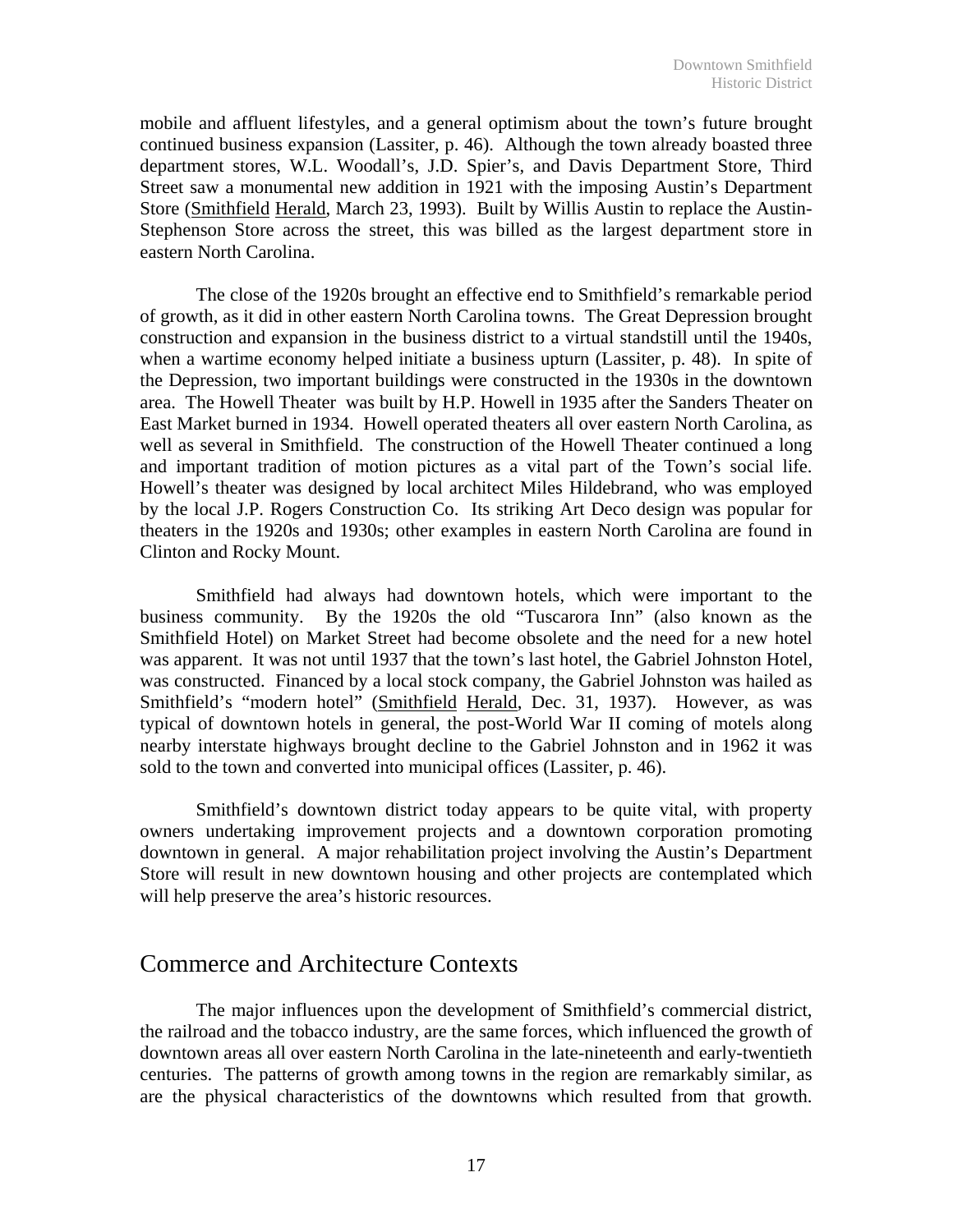mobile and affluent lifestyles, and a general optimism about the town's future brought continued business expansion (Lassiter, p. 46). Although the town already boasted three department stores, W.L. Woodall's, J.D. Spier's, and Davis Department Store, Third Street saw a monumental new addition in 1921 with the imposing Austin's Department Store (Smithfield Herald, March 23, 1993). Built by Willis Austin to replace the Austin-Stephenson Store across the street, this was billed as the largest department store in eastern North Carolina.

 The close of the 1920s brought an effective end to Smithfield's remarkable period of growth, as it did in other eastern North Carolina towns. The Great Depression brought construction and expansion in the business district to a virtual standstill until the 1940s, when a wartime economy helped initiate a business upturn (Lassiter, p. 48). In spite of the Depression, two important buildings were constructed in the 1930s in the downtown area. The Howell Theater was built by H.P. Howell in 1935 after the Sanders Theater on East Market burned in 1934. Howell operated theaters all over eastern North Carolina, as well as several in Smithfield. The construction of the Howell Theater continued a long and important tradition of motion pictures as a vital part of the Town's social life. Howell's theater was designed by local architect Miles Hildebrand, who was employed by the local J.P. Rogers Construction Co. Its striking Art Deco design was popular for theaters in the 1920s and 1930s; other examples in eastern North Carolina are found in Clinton and Rocky Mount.

 Smithfield had always had downtown hotels, which were important to the business community. By the 1920s the old "Tuscarora Inn" (also known as the Smithfield Hotel) on Market Street had become obsolete and the need for a new hotel was apparent. It was not until 1937 that the town's last hotel, the Gabriel Johnston Hotel, was constructed. Financed by a local stock company, the Gabriel Johnston was hailed as Smithfield's "modern hotel" (Smithfield Herald, Dec. 31, 1937). However, as was typical of downtown hotels in general, the post-World War II coming of motels along nearby interstate highways brought decline to the Gabriel Johnston and in 1962 it was sold to the town and converted into municipal offices (Lassiter, p. 46).

 Smithfield's downtown district today appears to be quite vital, with property owners undertaking improvement projects and a downtown corporation promoting downtown in general. A major rehabilitation project involving the Austin's Department Store will result in new downtown housing and other projects are contemplated which will help preserve the area's historic resources.

## Commerce and Architecture Contexts

The major influences upon the development of Smithfield's commercial district, the railroad and the tobacco industry, are the same forces, which influenced the growth of downtown areas all over eastern North Carolina in the late-nineteenth and early-twentieth centuries. The patterns of growth among towns in the region are remarkably similar, as are the physical characteristics of the downtowns which resulted from that growth.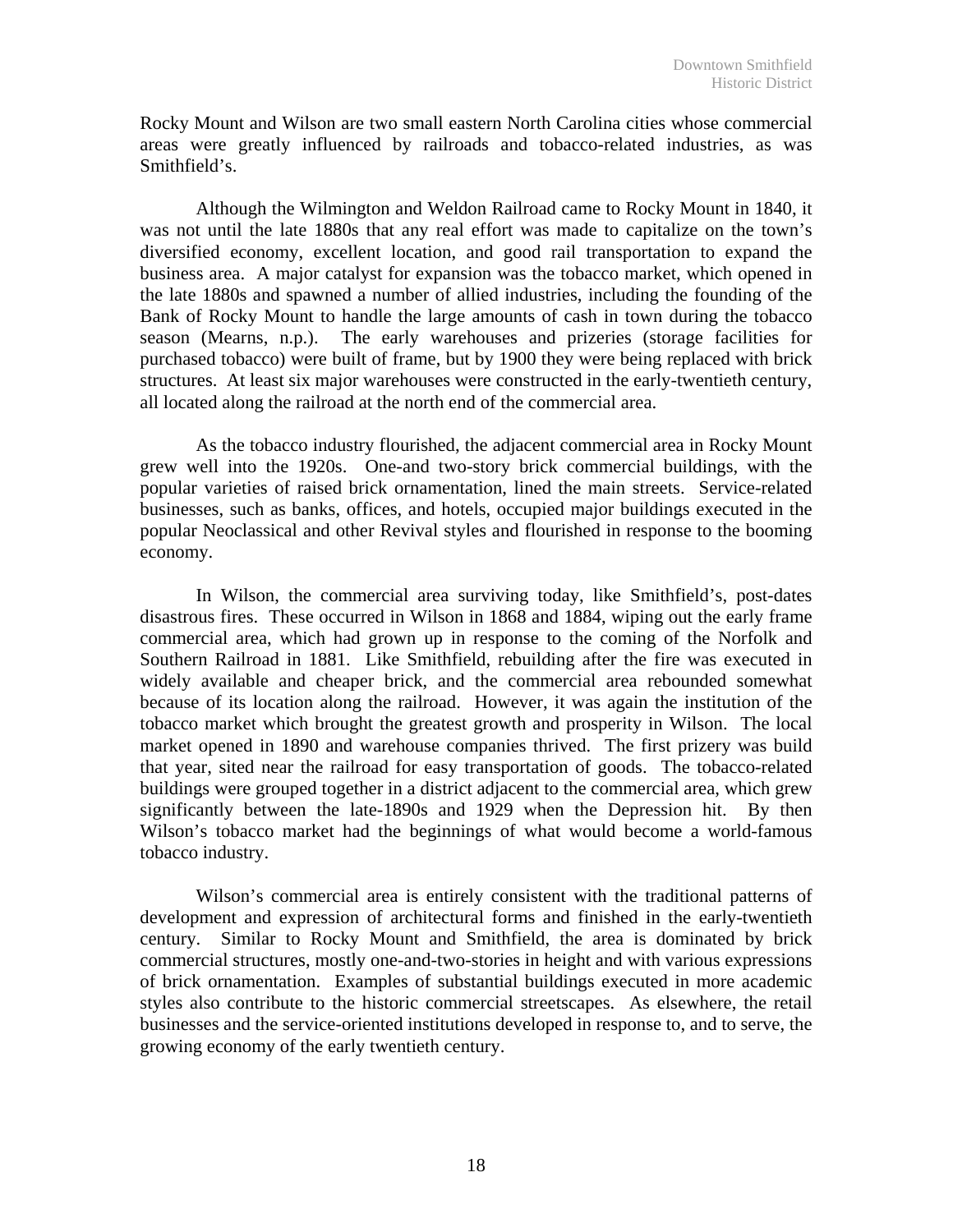Rocky Mount and Wilson are two small eastern North Carolina cities whose commercial areas were greatly influenced by railroads and tobacco-related industries, as was Smithfield's.

 Although the Wilmington and Weldon Railroad came to Rocky Mount in 1840, it was not until the late 1880s that any real effort was made to capitalize on the town's diversified economy, excellent location, and good rail transportation to expand the business area. A major catalyst for expansion was the tobacco market, which opened in the late 1880s and spawned a number of allied industries, including the founding of the Bank of Rocky Mount to handle the large amounts of cash in town during the tobacco season (Mearns, n.p.). The early warehouses and prizeries (storage facilities for purchased tobacco) were built of frame, but by 1900 they were being replaced with brick structures. At least six major warehouses were constructed in the early-twentieth century, all located along the railroad at the north end of the commercial area.

 As the tobacco industry flourished, the adjacent commercial area in Rocky Mount grew well into the 1920s. One-and two-story brick commercial buildings, with the popular varieties of raised brick ornamentation, lined the main streets. Service-related businesses, such as banks, offices, and hotels, occupied major buildings executed in the popular Neoclassical and other Revival styles and flourished in response to the booming economy.

 In Wilson, the commercial area surviving today, like Smithfield's, post-dates disastrous fires. These occurred in Wilson in 1868 and 1884, wiping out the early frame commercial area, which had grown up in response to the coming of the Norfolk and Southern Railroad in 1881. Like Smithfield, rebuilding after the fire was executed in widely available and cheaper brick, and the commercial area rebounded somewhat because of its location along the railroad. However, it was again the institution of the tobacco market which brought the greatest growth and prosperity in Wilson. The local market opened in 1890 and warehouse companies thrived. The first prizery was build that year, sited near the railroad for easy transportation of goods. The tobacco-related buildings were grouped together in a district adjacent to the commercial area, which grew significantly between the late-1890s and 1929 when the Depression hit. By then Wilson's tobacco market had the beginnings of what would become a world-famous tobacco industry.

Wilson's commercial area is entirely consistent with the traditional patterns of development and expression of architectural forms and finished in the early-twentieth century. Similar to Rocky Mount and Smithfield, the area is dominated by brick commercial structures, mostly one-and-two-stories in height and with various expressions of brick ornamentation. Examples of substantial buildings executed in more academic styles also contribute to the historic commercial streetscapes. As elsewhere, the retail businesses and the service-oriented institutions developed in response to, and to serve, the growing economy of the early twentieth century.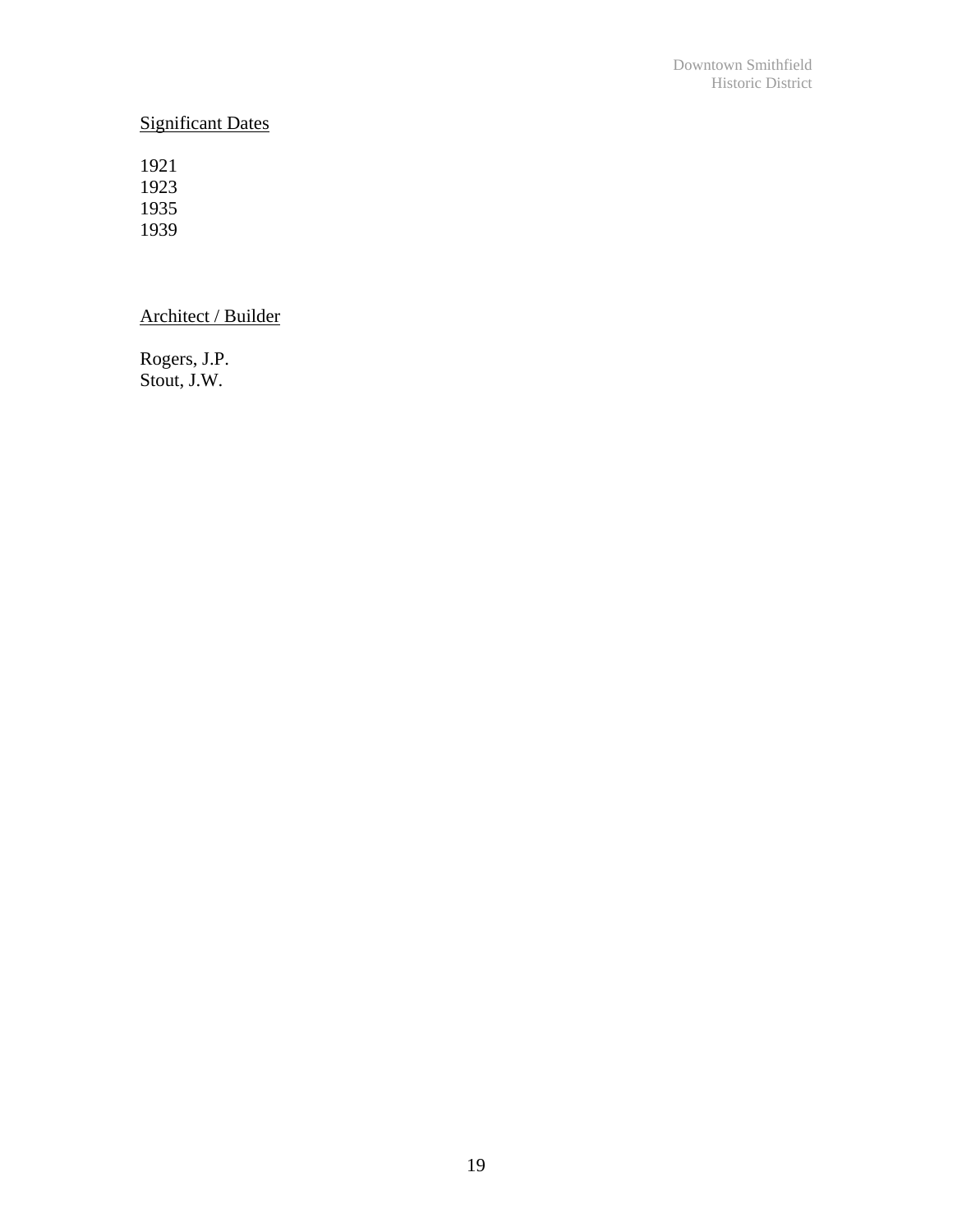## Significant Dates

Architect / Builder

Rogers, J.P. Stout, J.W.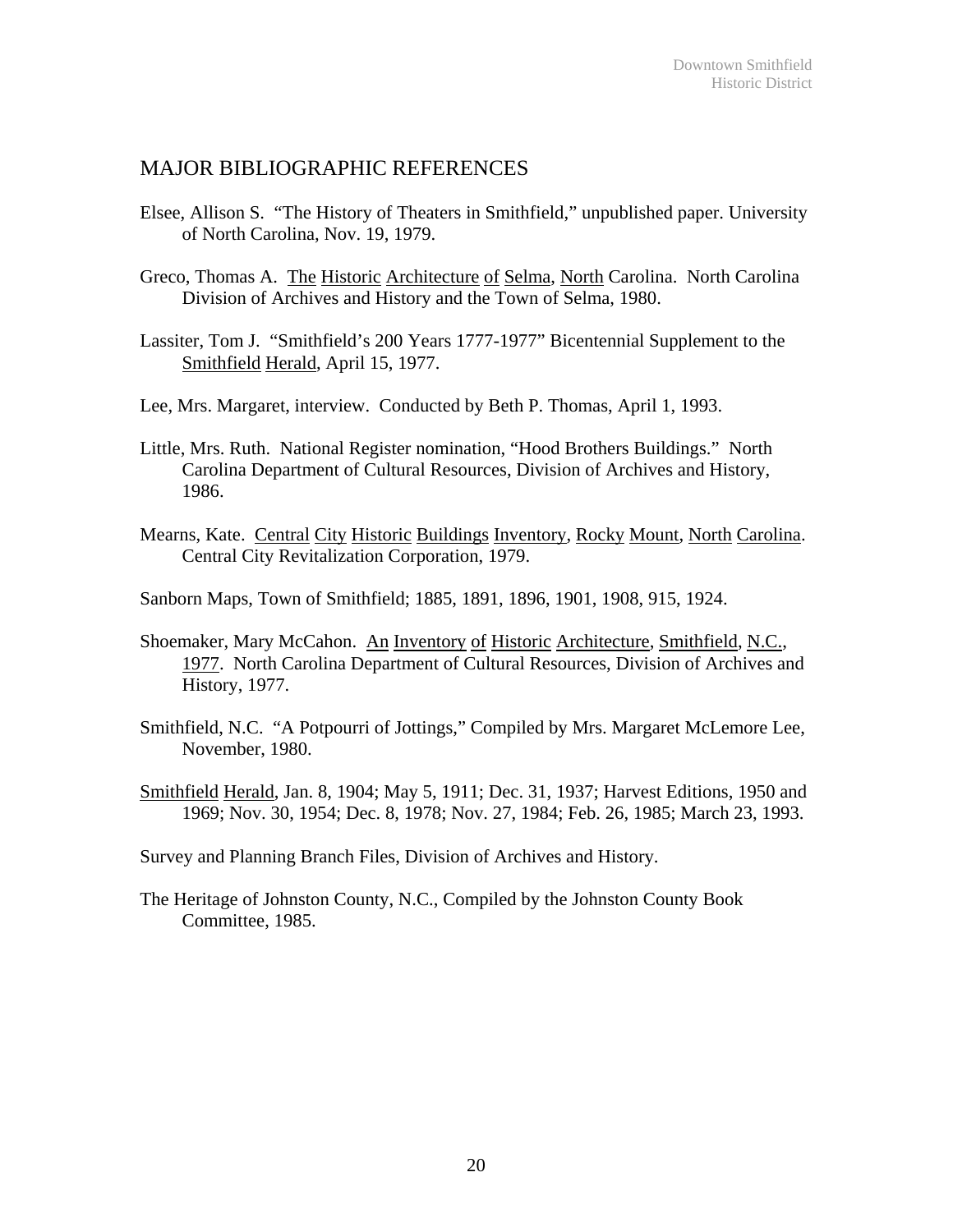## MAJOR BIBLIOGRAPHIC REFERENCES

- Elsee, Allison S. "The History of Theaters in Smithfield," unpublished paper. University of North Carolina, Nov. 19, 1979.
- Greco, Thomas A. The Historic Architecture of Selma, North Carolina. North Carolina Division of Archives and History and the Town of Selma, 1980.
- Lassiter, Tom J. "Smithfield's 200 Years 1777-1977" Bicentennial Supplement to the Smithfield Herald, April 15, 1977.
- Lee, Mrs. Margaret, interview. Conducted by Beth P. Thomas, April 1, 1993.
- Little, Mrs. Ruth. National Register nomination, "Hood Brothers Buildings." North Carolina Department of Cultural Resources, Division of Archives and History, 1986.
- Mearns, Kate. Central City Historic Buildings Inventory, Rocky Mount, North Carolina. Central City Revitalization Corporation, 1979.
- Sanborn Maps, Town of Smithfield; 1885, 1891, 1896, 1901, 1908, 915, 1924.
- Shoemaker, Mary McCahon. An Inventory of Historic Architecture, Smithfield, N.C., 1977. North Carolina Department of Cultural Resources, Division of Archives and History, 1977.
- Smithfield, N.C. "A Potpourri of Jottings," Compiled by Mrs. Margaret McLemore Lee, November, 1980.
- Smithfield Herald, Jan. 8, 1904; May 5, 1911; Dec. 31, 1937; Harvest Editions, 1950 and 1969; Nov. 30, 1954; Dec. 8, 1978; Nov. 27, 1984; Feb. 26, 1985; March 23, 1993.
- Survey and Planning Branch Files, Division of Archives and History.
- The Heritage of Johnston County, N.C., Compiled by the Johnston County Book Committee, 1985.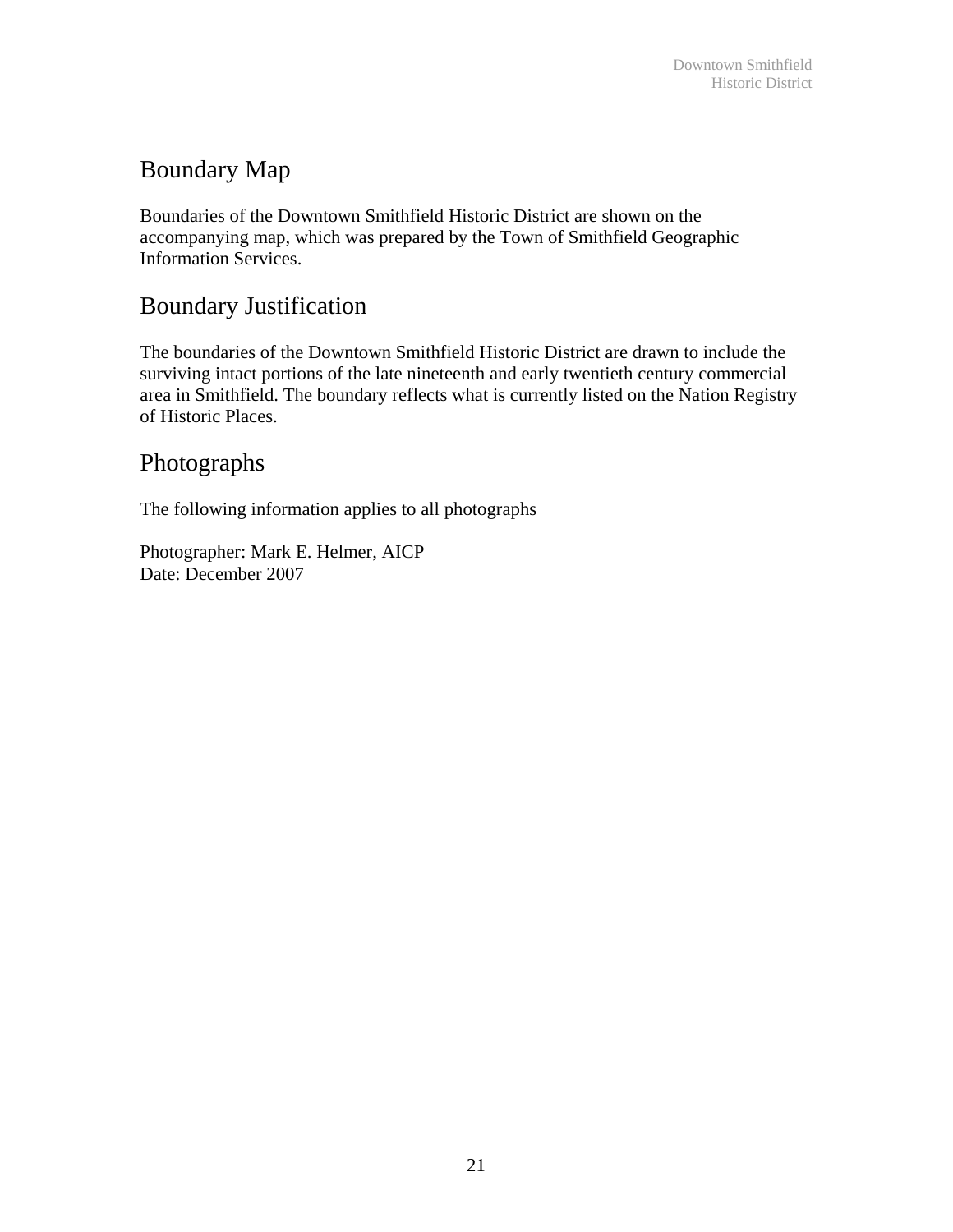# Boundary Map

Boundaries of the Downtown Smithfield Historic District are shown on the accompanying map, which was prepared by the Town of Smithfield Geographic Information Services.

# Boundary Justification

The boundaries of the Downtown Smithfield Historic District are drawn to include the surviving intact portions of the late nineteenth and early twentieth century commercial area in Smithfield. The boundary reflects what is currently listed on the Nation Registry of Historic Places.

# Photographs

The following information applies to all photographs

Photographer: Mark E. Helmer, AICP Date: December 2007